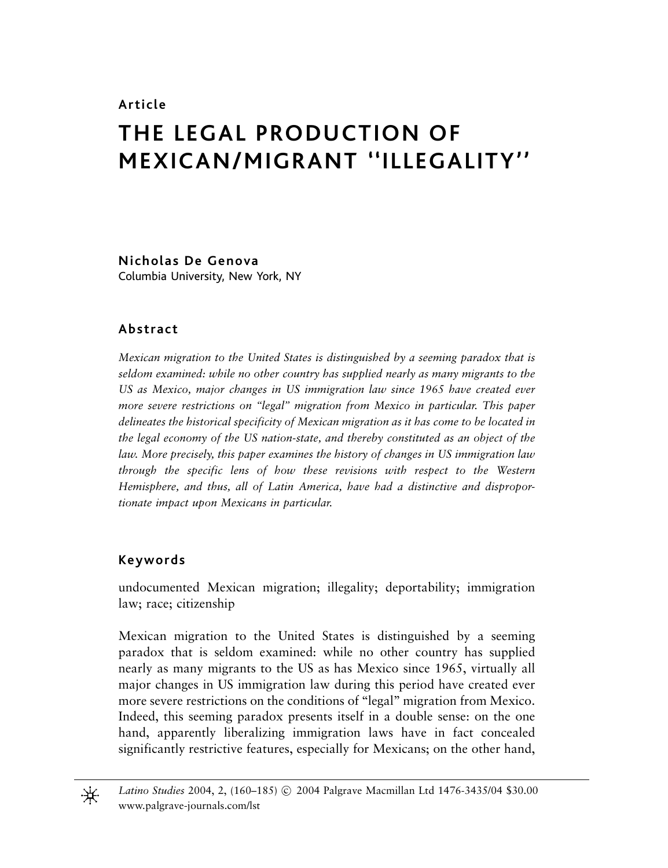# Article

# THE LEGAL PRODUCTION OF MEXICAN/MIGRANT ''ILLEGALITY''

Nicholas De Genova Columbia University, New York, NY

# Abstract

Mexican migration to the United States is distinguished by a seeming paradox that is seldom examined: while no other country has supplied nearly as many migrants to the US as Mexico, major changes in US immigration law since 1965 have created ever more severe restrictions on ''legal'' migration from Mexico in particular. This paper delineates the historical specificity of Mexican migration as it has come to be located in the legal economy of the US nation-state, and thereby constituted as an object of the law. More precisely, this paper examines the history of changes in US immigration law through the specific lens of how these revisions with respect to the Western Hemisphere, and thus, all of Latin America, have had a distinctive and disproportionate impact upon Mexicans in particular.

# Keywords

undocumented Mexican migration; illegality; deportability; immigration law; race; citizenship

Mexican migration to the United States is distinguished by a seeming paradox that is seldom examined: while no other country has supplied nearly as many migrants to the US as has Mexico since 1965, virtually all major changes in US immigration law during this period have created ever more severe restrictions on the conditions of ''legal'' migration from Mexico. Indeed, this seeming paradox presents itself in a double sense: on the one hand, apparently liberalizing immigration laws have in fact concealed significantly restrictive features, especially for Mexicans; on the other hand,

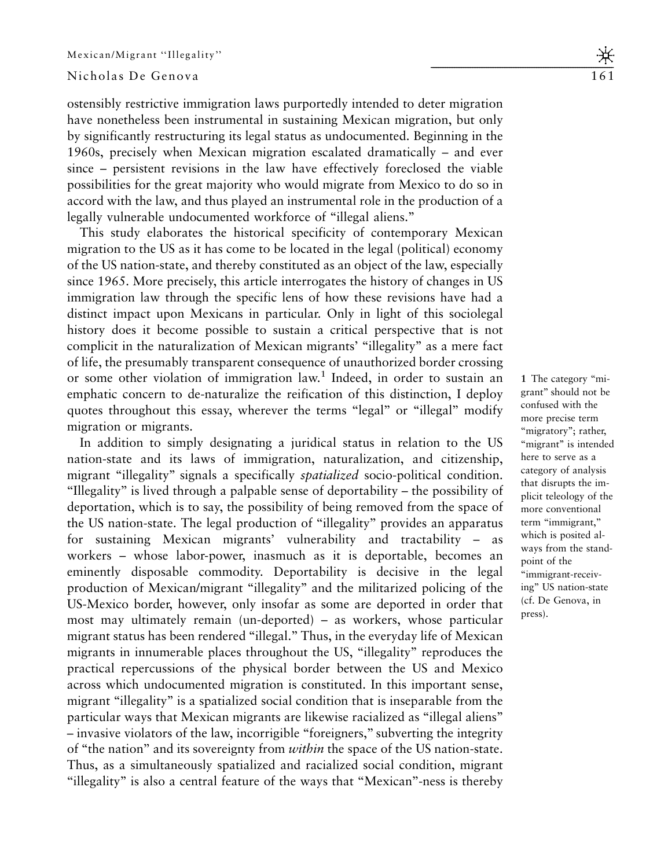ostensibly restrictive immigration laws purportedly intended to deter migration have nonetheless been instrumental in sustaining Mexican migration, but only by significantly restructuring its legal status as undocumented. Beginning in the 1960s, precisely when Mexican migration escalated dramatically – and ever since – persistent revisions in the law have effectively foreclosed the viable possibilities for the great majority who would migrate from Mexico to do so in accord with the law, and thus played an instrumental role in the production of a legally vulnerable undocumented workforce of ''illegal aliens.''

This study elaborates the historical specificity of contemporary Mexican migration to the US as it has come to be located in the legal (political) economy of the US nation-state, and thereby constituted as an object of the law, especially since 1965. More precisely, this article interrogates the history of changes in US immigration law through the specific lens of how these revisions have had a distinct impact upon Mexicans in particular. Only in light of this sociolegal history does it become possible to sustain a critical perspective that is not complicit in the naturalization of Mexican migrants' ''illegality'' as a mere fact of life, the presumably transparent consequence of unauthorized border crossing or some other violation of immigration law.<sup>1</sup> Indeed, in order to sustain an emphatic concern to de-naturalize the reification of this distinction, I deploy quotes throughout this essay, wherever the terms ''legal'' or ''illegal'' modify migration or migrants.

In addition to simply designating a juridical status in relation to the US nation-state and its laws of immigration, naturalization, and citizenship, migrant "illegality" signals a specifically *spatialized* socio-political condition. "Illegality" is lived through a palpable sense of deportability – the possibility of deportation, which is to say, the possibility of being removed from the space of the US nation-state. The legal production of ''illegality'' provides an apparatus for sustaining Mexican migrants' vulnerability and tractability – as workers – whose labor-power, inasmuch as it is deportable, becomes an eminently disposable commodity. Deportability is decisive in the legal production of Mexican/migrant ''illegality'' and the militarized policing of the US-Mexico border, however, only insofar as some are deported in order that most may ultimately remain (un-deported) – as workers, whose particular migrant status has been rendered ''illegal.'' Thus, in the everyday life of Mexican migrants in innumerable places throughout the US, ''illegality'' reproduces the practical repercussions of the physical border between the US and Mexico across which undocumented migration is constituted. In this important sense, migrant ''illegality'' is a spatialized social condition that is inseparable from the particular ways that Mexican migrants are likewise racialized as ''illegal aliens'' – invasive violators of the law, incorrigible ''foreigners,'' subverting the integrity of "the nation" and its sovereignty from *within* the space of the US nation-state. Thus, as a simultaneously spatialized and racialized social condition, migrant ''illegality'' is also a central feature of the ways that ''Mexican''-ness is thereby 1 The category ''migrant'' should not be confused with the more precise term "migratory"; rather, "migrant" is intended here to serve as a category of analysis that disrupts the implicit teleology of the more conventional term "immigrant," which is posited always from the standpoint of the ''immigrant-receiving'' US nation-state (cf. De Genova, in press).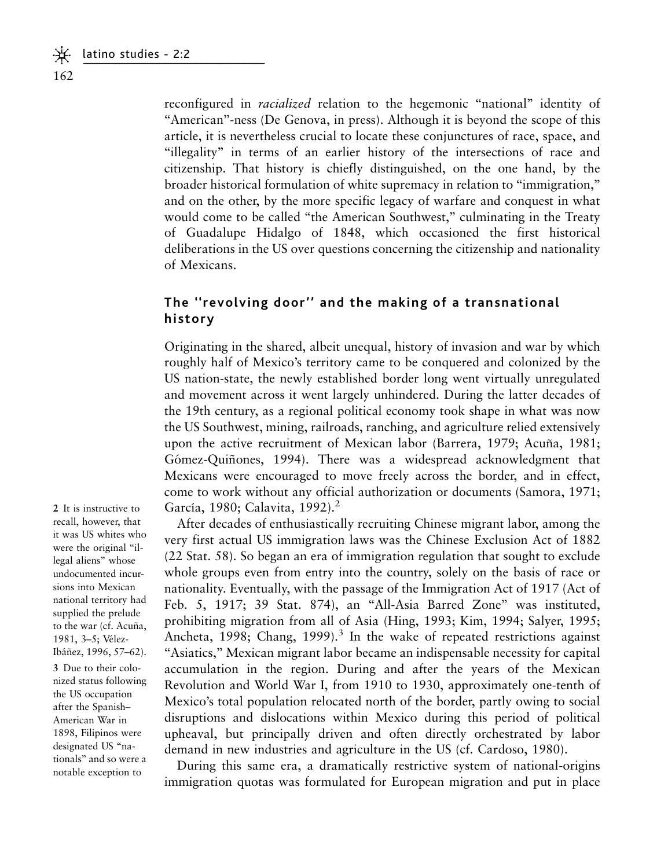reconfigured in *racialized* relation to the hegemonic "national" identity of ''American''-ness (De Genova, in press). Although it is beyond the scope of this article, it is nevertheless crucial to locate these conjunctures of race, space, and ''illegality'' in terms of an earlier history of the intersections of race and citizenship. That history is chiefly distinguished, on the one hand, by the broader historical formulation of white supremacy in relation to ''immigration,'' and on the other, by the more specific legacy of warfare and conquest in what would come to be called ''the American Southwest,'' culminating in the Treaty of Guadalupe Hidalgo of 1848, which occasioned the first historical deliberations in the US over questions concerning the citizenship and nationality of Mexicans.

# The ''revolving door'' and the making of a transnational history

Originating in the shared, albeit unequal, history of invasion and war by which roughly half of Mexico's territory came to be conquered and colonized by the US nation-state, the newly established border long went virtually unregulated and movement across it went largely unhindered. During the latter decades of the 19th century, as a regional political economy took shape in what was now the US Southwest, mining, railroads, ranching, and agriculture relied extensively upon the active recruitment of Mexican labor (Barrera, 1979; Acuña, 1981; Gómez-Quiñones, 1994). There was a widespread acknowledgment that Mexicans were encouraged to move freely across the border, and in effect, come to work without any official authorization or documents (Samora, 1971; García, 1980; Calavita, 1992).<sup>2</sup>

After decades of enthusiastically recruiting Chinese migrant labor, among the very first actual US immigration laws was the Chinese Exclusion Act of 1882 (22 Stat. 58). So began an era of immigration regulation that sought to exclude whole groups even from entry into the country, solely on the basis of race or nationality. Eventually, with the passage of the Immigration Act of 1917 (Act of Feb. 5, 1917; 39 Stat. 874), an ''All-Asia Barred Zone'' was instituted, prohibiting migration from all of Asia (Hing, 1993; Kim, 1994; Salyer, 1995; Ancheta, 1998; Chang, 1999).<sup>3</sup> In the wake of repeated restrictions against ''Asiatics,'' Mexican migrant labor became an indispensable necessity for capital accumulation in the region. During and after the years of the Mexican Revolution and World War I, from 1910 to 1930, approximately one-tenth of Mexico's total population relocated north of the border, partly owing to social disruptions and dislocations within Mexico during this period of political upheaval, but principally driven and often directly orchestrated by labor demand in new industries and agriculture in the US (cf. Cardoso, 1980).

During this same era, a dramatically restrictive system of national-origins immigration quotas was formulated for European migration and put in place

2 It is instructive to recall, however, that it was US whites who were the original "illegal aliens'' whose undocumented incursions into Mexican national territory had supplied the prelude to the war (cf. Acuña, 1981, 3-5; Vélez-Ibáñez, 1996, 57-62).

3 Due to their colonized status following the US occupation after the Spanish– American War in 1898, Filipinos were designated US ''nationals'' and so were a notable exception to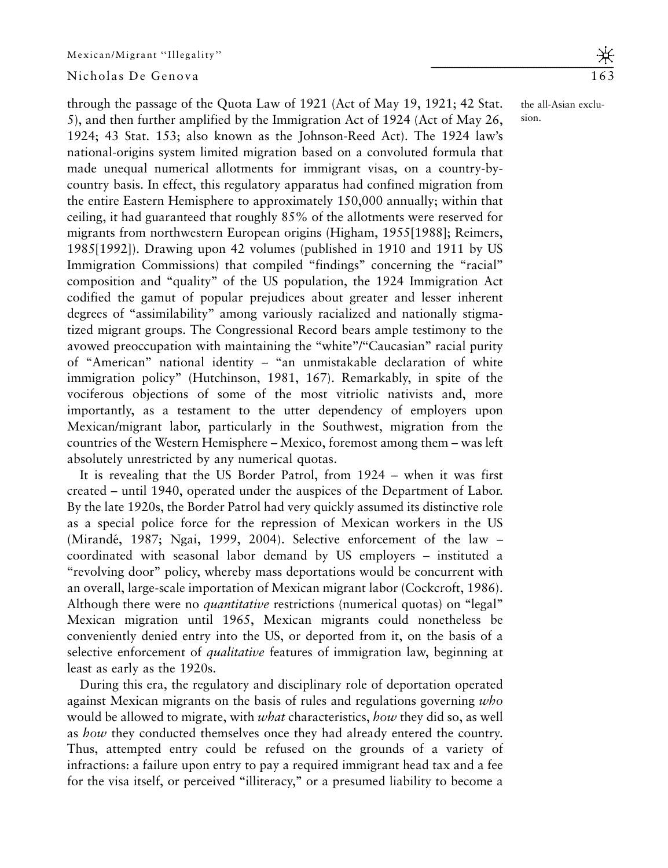through the passage of the Quota Law of 1921 (Act of May 19, 1921; 42 Stat. 5), and then further amplified by the Immigration Act of 1924 (Act of May 26, 1924; 43 Stat. 153; also known as the Johnson-Reed Act). The 1924 law's national-origins system limited migration based on a convoluted formula that made unequal numerical allotments for immigrant visas, on a country-bycountry basis. In effect, this regulatory apparatus had confined migration from the entire Eastern Hemisphere to approximately 150,000 annually; within that ceiling, it had guaranteed that roughly 85% of the allotments were reserved for migrants from northwestern European origins (Higham, 1955[1988]; Reimers, 1985[1992]). Drawing upon 42 volumes (published in 1910 and 1911 by US Immigration Commissions) that compiled "findings" concerning the "racial" composition and ''quality'' of the US population, the 1924 Immigration Act codified the gamut of popular prejudices about greater and lesser inherent degrees of ''assimilability'' among variously racialized and nationally stigmatized migrant groups. The Congressional Record bears ample testimony to the avowed preoccupation with maintaining the ''white''/''Caucasian'' racial purity of ''American'' national identity – ''an unmistakable declaration of white immigration policy'' (Hutchinson, 1981, 167). Remarkably, in spite of the vociferous objections of some of the most vitriolic nativists and, more importantly, as a testament to the utter dependency of employers upon Mexican/migrant labor, particularly in the Southwest, migration from the countries of the Western Hemisphere – Mexico, foremost among them – was left absolutely unrestricted by any numerical quotas.

It is revealing that the US Border Patrol, from 1924 – when it was first created – until 1940, operated under the auspices of the Department of Labor. By the late 1920s, the Border Patrol had very quickly assumed its distinctive role as a special police force for the repression of Mexican workers in the US (Mirande´, 1987; Ngai, 1999, 2004). Selective enforcement of the law – coordinated with seasonal labor demand by US employers – instituted a "revolving door" policy, whereby mass deportations would be concurrent with an overall, large-scale importation of Mexican migrant labor (Cockcroft, 1986). Although there were no *quantitative* restrictions (numerical quotas) on "legal" Mexican migration until 1965, Mexican migrants could nonetheless be conveniently denied entry into the US, or deported from it, on the basis of a selective enforcement of *qualitative* features of immigration law, beginning at least as early as the 1920s.

During this era, the regulatory and disciplinary role of deportation operated against Mexican migrants on the basis of rules and regulations governing  $who$ would be allowed to migrate, with *what* characteristics, *how* they did so, as well as how they conducted themselves once they had already entered the country. Thus, attempted entry could be refused on the grounds of a variety of infractions: a failure upon entry to pay a required immigrant head tax and a fee for the visa itself, or perceived ''illiteracy,'' or a presumed liability to become a

the all-Asian exclusion.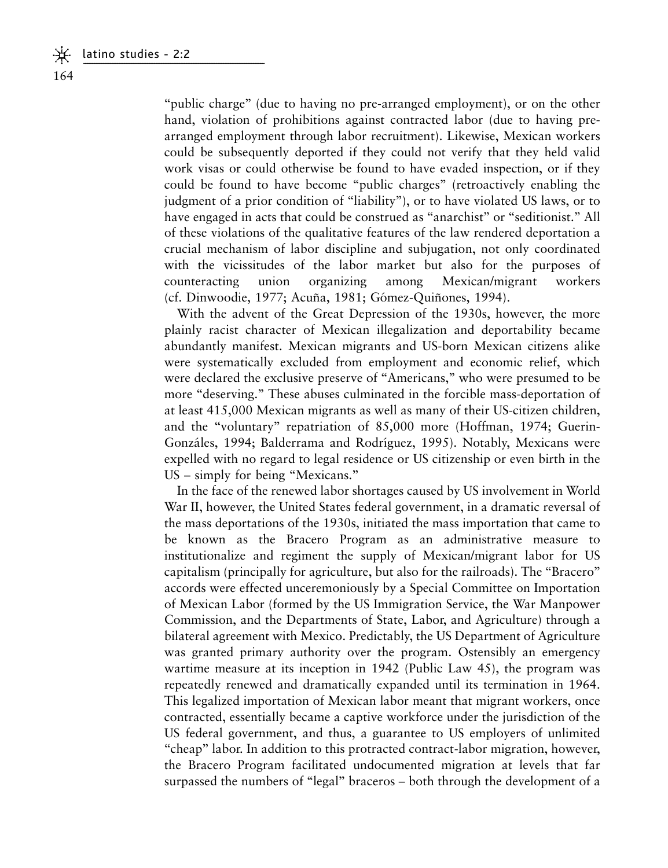''public charge'' (due to having no pre-arranged employment), or on the other hand, violation of prohibitions against contracted labor (due to having prearranged employment through labor recruitment). Likewise, Mexican workers could be subsequently deported if they could not verify that they held valid work visas or could otherwise be found to have evaded inspection, or if they could be found to have become ''public charges'' (retroactively enabling the judgment of a prior condition of ''liability''), or to have violated US laws, or to have engaged in acts that could be construed as "anarchist" or "seditionist." All of these violations of the qualitative features of the law rendered deportation a crucial mechanism of labor discipline and subjugation, not only coordinated with the vicissitudes of the labor market but also for the purposes of counteracting union organizing among Mexican/migrant workers (cf. Dinwoodie, 1977; Acuña, 1981; Gómez-Quiñones, 1994).

With the advent of the Great Depression of the 1930s, however, the more plainly racist character of Mexican illegalization and deportability became abundantly manifest. Mexican migrants and US-born Mexican citizens alike were systematically excluded from employment and economic relief, which were declared the exclusive preserve of ''Americans,'' who were presumed to be more "deserving." These abuses culminated in the forcible mass-deportation of at least 415,000 Mexican migrants as well as many of their US-citizen children, and the ''voluntary'' repatriation of 85,000 more (Hoffman, 1974; Guerin-Gonzáles, 1994; Balderrama and Rodríguez, 1995). Notably, Mexicans were expelled with no regard to legal residence or US citizenship or even birth in the US – simply for being ''Mexicans.''

In the face of the renewed labor shortages caused by US involvement in World War II, however, the United States federal government, in a dramatic reversal of the mass deportations of the 1930s, initiated the mass importation that came to be known as the Bracero Program as an administrative measure to institutionalize and regiment the supply of Mexican/migrant labor for US capitalism (principally for agriculture, but also for the railroads). The ''Bracero'' accords were effected unceremoniously by a Special Committee on Importation of Mexican Labor (formed by the US Immigration Service, the War Manpower Commission, and the Departments of State, Labor, and Agriculture) through a bilateral agreement with Mexico. Predictably, the US Department of Agriculture was granted primary authority over the program. Ostensibly an emergency wartime measure at its inception in 1942 (Public Law 45), the program was repeatedly renewed and dramatically expanded until its termination in 1964. This legalized importation of Mexican labor meant that migrant workers, once contracted, essentially became a captive workforce under the jurisdiction of the US federal government, and thus, a guarantee to US employers of unlimited ''cheap'' labor. In addition to this protracted contract-labor migration, however, the Bracero Program facilitated undocumented migration at levels that far surpassed the numbers of ''legal'' braceros – both through the development of a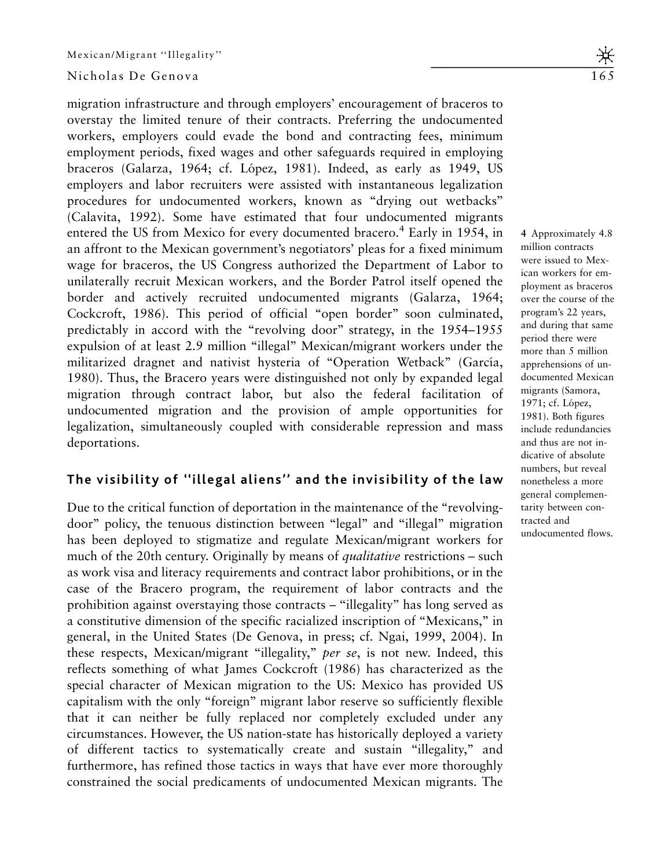migration infrastructure and through employers' encouragement of braceros to overstay the limited tenure of their contracts. Preferring the undocumented workers, employers could evade the bond and contracting fees, minimum employment periods, fixed wages and other safeguards required in employing braceros (Galarza, 1964; cf. López, 1981). Indeed, as early as 1949, US employers and labor recruiters were assisted with instantaneous legalization procedures for undocumented workers, known as ''drying out wetbacks'' (Calavita, 1992). Some have estimated that four undocumented migrants entered the US from Mexico for every documented bracero.<sup>4</sup> Early in 1954, in an affront to the Mexican government's negotiators' pleas for a fixed minimum wage for braceros, the US Congress authorized the Department of Labor to unilaterally recruit Mexican workers, and the Border Patrol itself opened the border and actively recruited undocumented migrants (Galarza, 1964; Cockcroft, 1986). This period of official "open border" soon culminated, predictably in accord with the "revolving door" strategy, in the 1954–1955 expulsion of at least 2.9 million "illegal" Mexican/migrant workers under the militarized dragnet and nativist hysteria of "Operation Wetback" (García, 1980). Thus, the Bracero years were distinguished not only by expanded legal migration through contract labor, but also the federal facilitation of undocumented migration and the provision of ample opportunities for legalization, simultaneously coupled with considerable repression and mass deportations.

# The visibility of ''illegal aliens'' and the invisibility of the law

Due to the critical function of deportation in the maintenance of the "revolvingdoor'' policy, the tenuous distinction between ''legal'' and ''illegal'' migration has been deployed to stigmatize and regulate Mexican/migrant workers for much of the 20th century. Originally by means of *qualitative* restrictions – such as work visa and literacy requirements and contract labor prohibitions, or in the case of the Bracero program, the requirement of labor contracts and the prohibition against overstaying those contracts – ''illegality'' has long served as a constitutive dimension of the specific racialized inscription of ''Mexicans,'' in general, in the United States (De Genova, in press; cf. Ngai, 1999, 2004). In these respects, Mexican/migrant "illegality," per se, is not new. Indeed, this reflects something of what James Cockcroft (1986) has characterized as the special character of Mexican migration to the US: Mexico has provided US capitalism with the only ''foreign'' migrant labor reserve so sufficiently flexible that it can neither be fully replaced nor completely excluded under any circumstances. However, the US nation-state has historically deployed a variety of different tactics to systematically create and sustain ''illegality,'' and furthermore, has refined those tactics in ways that have ever more thoroughly constrained the social predicaments of undocumented Mexican migrants. The

4 Approximately 4.8 million contracts were issued to Mexican workers for employment as braceros over the course of the program's 22 years, and during that same period there were more than 5 million apprehensions of undocumented Mexican migrants (Samora, 1971; cf. López, 1981). Both figures include redundancies and thus are not indicative of absolute numbers, but reveal nonetheless a more general complementarity between contracted and undocumented flows.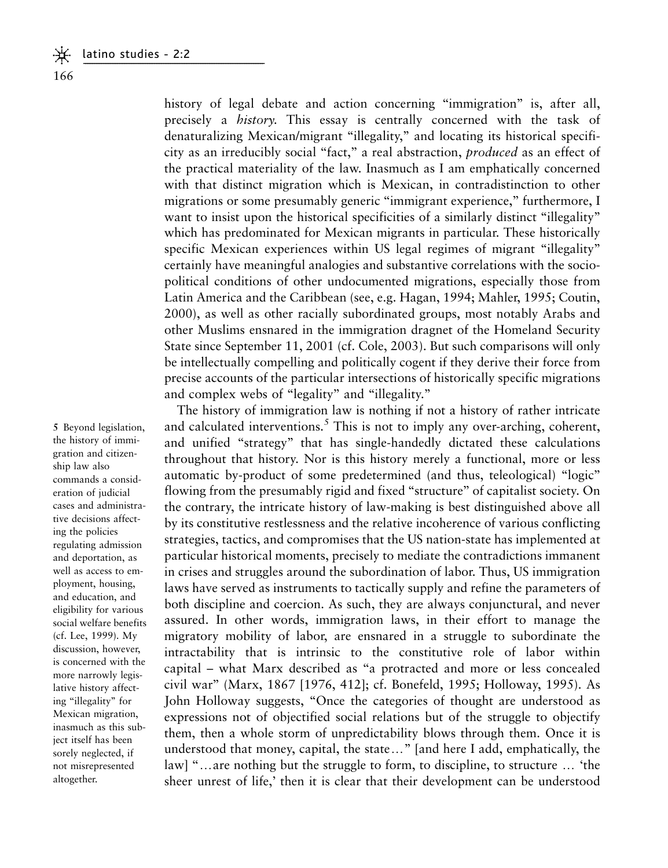history of legal debate and action concerning "immigration" is, after all, precisely a history. This essay is centrally concerned with the task of denaturalizing Mexican/migrant ''illegality,'' and locating its historical specificity as an irreducibly social ''fact,'' a real abstraction, produced as an effect of the practical materiality of the law. Inasmuch as I am emphatically concerned with that distinct migration which is Mexican, in contradistinction to other migrations or some presumably generic "immigrant experience," furthermore, I want to insist upon the historical specificities of a similarly distinct "illegality" which has predominated for Mexican migrants in particular. These historically specific Mexican experiences within US legal regimes of migrant ''illegality'' certainly have meaningful analogies and substantive correlations with the sociopolitical conditions of other undocumented migrations, especially those from Latin America and the Caribbean (see, e.g. Hagan, 1994; Mahler, 1995; Coutin, 2000), as well as other racially subordinated groups, most notably Arabs and other Muslims ensnared in the immigration dragnet of the Homeland Security State since September 11, 2001 (cf. Cole, 2003). But such comparisons will only be intellectually compelling and politically cogent if they derive their force from precise accounts of the particular intersections of historically specific migrations and complex webs of ''legality'' and ''illegality.''

The history of immigration law is nothing if not a history of rather intricate and calculated interventions.<sup>5</sup> This is not to imply any over-arching, coherent, and unified ''strategy'' that has single-handedly dictated these calculations throughout that history. Nor is this history merely a functional, more or less automatic by-product of some predetermined (and thus, teleological) ''logic'' flowing from the presumably rigid and fixed ''structure'' of capitalist society. On the contrary, the intricate history of law-making is best distinguished above all by its constitutive restlessness and the relative incoherence of various conflicting strategies, tactics, and compromises that the US nation-state has implemented at particular historical moments, precisely to mediate the contradictions immanent in crises and struggles around the subordination of labor. Thus, US immigration laws have served as instruments to tactically supply and refine the parameters of both discipline and coercion. As such, they are always conjunctural, and never assured. In other words, immigration laws, in their effort to manage the migratory mobility of labor, are ensnared in a struggle to subordinate the intractability that is intrinsic to the constitutive role of labor within capital – what Marx described as ''a protracted and more or less concealed civil war'' (Marx, 1867 [1976, 412]; cf. Bonefeld, 1995; Holloway, 1995). As John Holloway suggests, "Once the categories of thought are understood as expressions not of objectified social relations but of the struggle to objectify them, then a whole storm of unpredictability blows through them. Once it is understood that money, capital, the state $\ldots$ " [and here I add, emphatically, the law] " $\ldots$  are nothing but the struggle to form, to discipline, to structure  $\ldots$  'the sheer unrest of life,' then it is clear that their development can be understood

5 Beyond legislation, the history of immigration and citizenship law also commands a consideration of judicial cases and administrative decisions affecting the policies regulating admission and deportation, as well as access to employment, housing, and education, and eligibility for various social welfare benefits (cf. Lee, 1999). My discussion, however, is concerned with the more narrowly legislative history affecting "illegality" for Mexican migration, inasmuch as this subject itself has been sorely neglected, if not misrepresented altogether.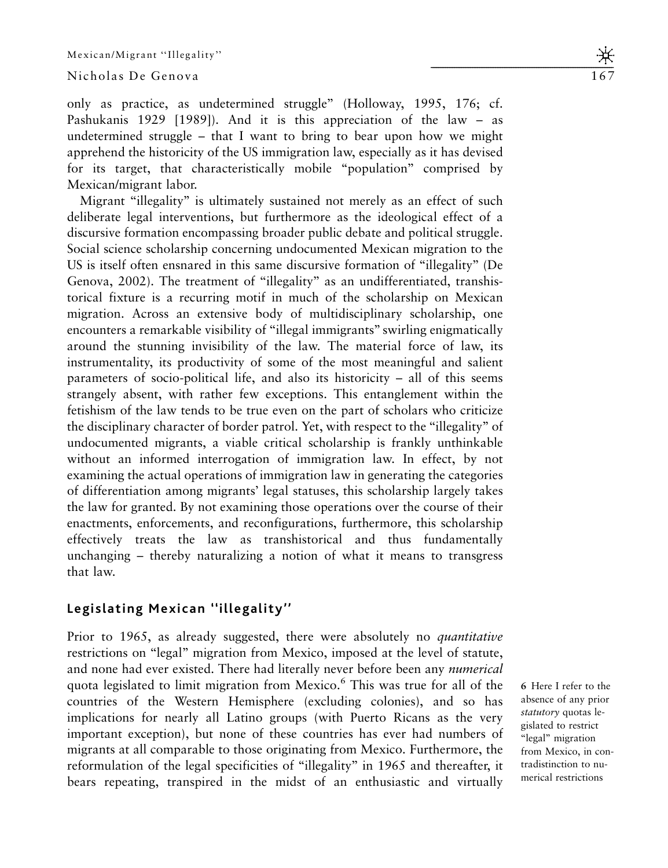only as practice, as undetermined struggle'' (Holloway, 1995, 176; cf. Pashukanis 1929 [1989]). And it is this appreciation of the law – as undetermined struggle  $-$  that I want to bring to bear upon how we might apprehend the historicity of the US immigration law, especially as it has devised for its target, that characteristically mobile ''population'' comprised by Mexican/migrant labor.

Migrant "illegality" is ultimately sustained not merely as an effect of such deliberate legal interventions, but furthermore as the ideological effect of a discursive formation encompassing broader public debate and political struggle. Social science scholarship concerning undocumented Mexican migration to the US is itself often ensnared in this same discursive formation of ''illegality'' (De Genova, 2002). The treatment of ''illegality'' as an undifferentiated, transhistorical fixture is a recurring motif in much of the scholarship on Mexican migration. Across an extensive body of multidisciplinary scholarship, one encounters a remarkable visibility of ''illegal immigrants'' swirling enigmatically around the stunning invisibility of the law. The material force of law, its instrumentality, its productivity of some of the most meaningful and salient parameters of socio-political life, and also its historicity – all of this seems strangely absent, with rather few exceptions. This entanglement within the fetishism of the law tends to be true even on the part of scholars who criticize the disciplinary character of border patrol. Yet, with respect to the ''illegality'' of undocumented migrants, a viable critical scholarship is frankly unthinkable without an informed interrogation of immigration law. In effect, by not examining the actual operations of immigration law in generating the categories of differentiation among migrants' legal statuses, this scholarship largely takes the law for granted. By not examining those operations over the course of their enactments, enforcements, and reconfigurations, furthermore, this scholarship effectively treats the law as transhistorical and thus fundamentally unchanging – thereby naturalizing a notion of what it means to transgress that law.

# Legislating Mexican ''illegality''

Prior to 1965, as already suggested, there were absolutely no *quantitative* restrictions on "legal" migration from Mexico, imposed at the level of statute, and none had ever existed. There had literally never before been any numerical quota legislated to limit migration from Mexico.<sup>6</sup> This was true for all of the countries of the Western Hemisphere (excluding colonies), and so has implications for nearly all Latino groups (with Puerto Ricans as the very important exception), but none of these countries has ever had numbers of migrants at all comparable to those originating from Mexico. Furthermore, the reformulation of the legal specificities of ''illegality'' in 1965 and thereafter, it bears repeating, transpired in the midst of an enthusiastic and virtually

6 Here I refer to the absence of any prior statutory quotas legislated to restrict "legal" migration from Mexico, in contradistinction to numerical restrictions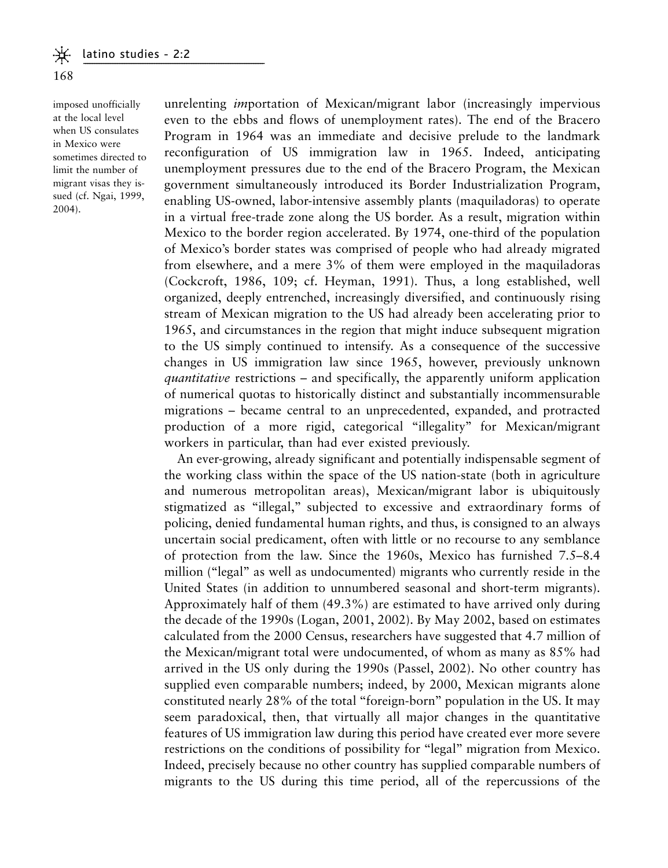imposed unofficially at the local level when US consulates in Mexico were sometimes directed to limit the number of migrant visas they issued (cf. Ngai, 1999, 2004).

168

unrelenting importation of Mexican/migrant labor (increasingly impervious even to the ebbs and flows of unemployment rates). The end of the Bracero Program in 1964 was an immediate and decisive prelude to the landmark reconfiguration of US immigration law in 1965. Indeed, anticipating unemployment pressures due to the end of the Bracero Program, the Mexican government simultaneously introduced its Border Industrialization Program, enabling US-owned, labor-intensive assembly plants (maquiladoras) to operate in a virtual free-trade zone along the US border. As a result, migration within Mexico to the border region accelerated. By 1974, one-third of the population of Mexico's border states was comprised of people who had already migrated from elsewhere, and a mere 3% of them were employed in the maquiladoras (Cockcroft, 1986, 109; cf. Heyman, 1991). Thus, a long established, well organized, deeply entrenched, increasingly diversified, and continuously rising stream of Mexican migration to the US had already been accelerating prior to 1965, and circumstances in the region that might induce subsequent migration to the US simply continued to intensify. As a consequence of the successive changes in US immigration law since 1965, however, previously unknown quantitative restrictions – and specifically, the apparently uniform application of numerical quotas to historically distinct and substantially incommensurable migrations – became central to an unprecedented, expanded, and protracted production of a more rigid, categorical ''illegality'' for Mexican/migrant workers in particular, than had ever existed previously.

An ever-growing, already significant and potentially indispensable segment of the working class within the space of the US nation-state (both in agriculture and numerous metropolitan areas), Mexican/migrant labor is ubiquitously stigmatized as ''illegal,'' subjected to excessive and extraordinary forms of policing, denied fundamental human rights, and thus, is consigned to an always uncertain social predicament, often with little or no recourse to any semblance of protection from the law. Since the 1960s, Mexico has furnished 7.5–8.4 million ("legal" as well as undocumented) migrants who currently reside in the United States (in addition to unnumbered seasonal and short-term migrants). Approximately half of them (49.3%) are estimated to have arrived only during the decade of the 1990s (Logan, 2001, 2002). By May 2002, based on estimates calculated from the 2000 Census, researchers have suggested that 4.7 million of the Mexican/migrant total were undocumented, of whom as many as 85% had arrived in the US only during the 1990s (Passel, 2002). No other country has supplied even comparable numbers; indeed, by 2000, Mexican migrants alone constituted nearly 28% of the total ''foreign-born'' population in the US. It may seem paradoxical, then, that virtually all major changes in the quantitative features of US immigration law during this period have created ever more severe restrictions on the conditions of possibility for ''legal'' migration from Mexico. Indeed, precisely because no other country has supplied comparable numbers of migrants to the US during this time period, all of the repercussions of the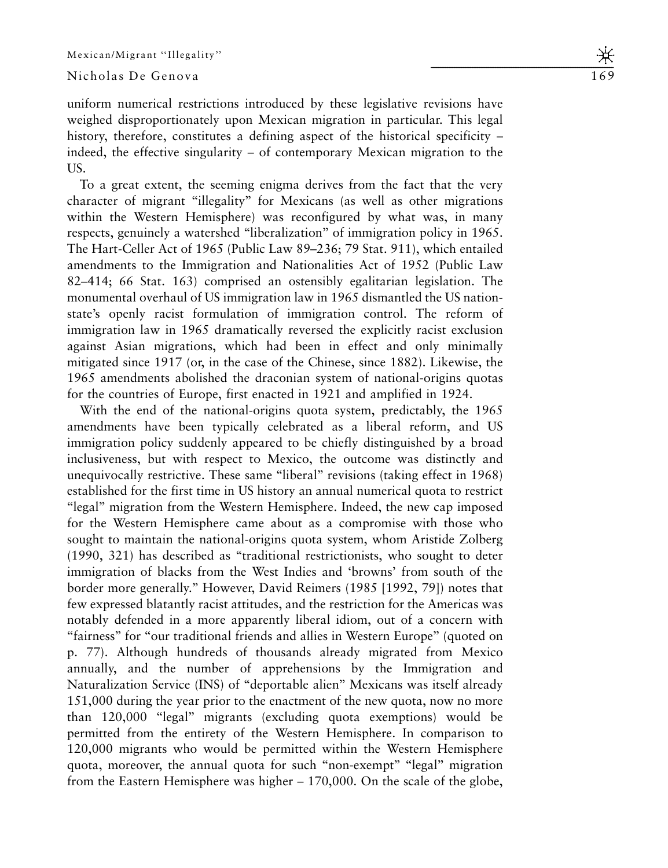uniform numerical restrictions introduced by these legislative revisions have weighed disproportionately upon Mexican migration in particular. This legal history, therefore, constitutes a defining aspect of the historical specificity – indeed, the effective singularity – of contemporary Mexican migration to the US.

To a great extent, the seeming enigma derives from the fact that the very character of migrant ''illegality'' for Mexicans (as well as other migrations within the Western Hemisphere) was reconfigured by what was, in many respects, genuinely a watershed ''liberalization'' of immigration policy in 1965. The Hart-Celler Act of 1965 (Public Law 89–236; 79 Stat. 911), which entailed amendments to the Immigration and Nationalities Act of 1952 (Public Law 82–414; 66 Stat. 163) comprised an ostensibly egalitarian legislation. The monumental overhaul of US immigration law in 1965 dismantled the US nationstate's openly racist formulation of immigration control. The reform of immigration law in 1965 dramatically reversed the explicitly racist exclusion against Asian migrations, which had been in effect and only minimally mitigated since 1917 (or, in the case of the Chinese, since 1882). Likewise, the 1965 amendments abolished the draconian system of national-origins quotas for the countries of Europe, first enacted in 1921 and amplified in 1924.

With the end of the national-origins quota system, predictably, the 1965 amendments have been typically celebrated as a liberal reform, and US immigration policy suddenly appeared to be chiefly distinguished by a broad inclusiveness, but with respect to Mexico, the outcome was distinctly and unequivocally restrictive. These same ''liberal'' revisions (taking effect in 1968) established for the first time in US history an annual numerical quota to restrict ''legal'' migration from the Western Hemisphere. Indeed, the new cap imposed for the Western Hemisphere came about as a compromise with those who sought to maintain the national-origins quota system, whom Aristide Zolberg (1990, 321) has described as ''traditional restrictionists, who sought to deter immigration of blacks from the West Indies and 'browns' from south of the border more generally.'' However, David Reimers (1985 [1992, 79]) notes that few expressed blatantly racist attitudes, and the restriction for the Americas was notably defended in a more apparently liberal idiom, out of a concern with ''fairness'' for ''our traditional friends and allies in Western Europe'' (quoted on p. 77). Although hundreds of thousands already migrated from Mexico annually, and the number of apprehensions by the Immigration and Naturalization Service (INS) of ''deportable alien'' Mexicans was itself already 151,000 during the year prior to the enactment of the new quota, now no more than 120,000 ''legal'' migrants (excluding quota exemptions) would be permitted from the entirety of the Western Hemisphere. In comparison to 120,000 migrants who would be permitted within the Western Hemisphere quota, moreover, the annual quota for such "non-exempt" "legal" migration from the Eastern Hemisphere was higher – 170,000. On the scale of the globe,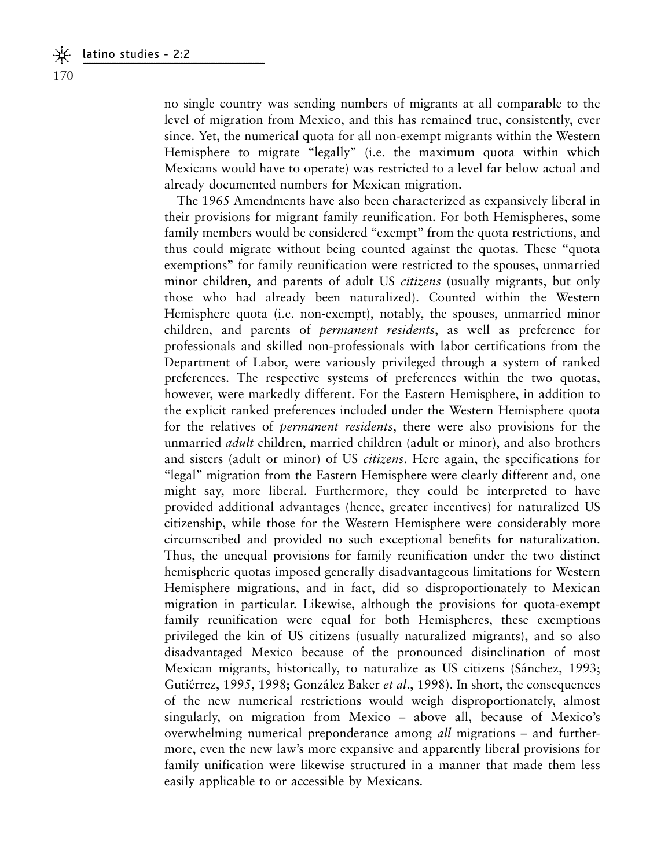no single country was sending numbers of migrants at all comparable to the level of migration from Mexico, and this has remained true, consistently, ever since. Yet, the numerical quota for all non-exempt migrants within the Western Hemisphere to migrate ''legally'' (i.e. the maximum quota within which Mexicans would have to operate) was restricted to a level far below actual and already documented numbers for Mexican migration.

The 1965 Amendments have also been characterized as expansively liberal in their provisions for migrant family reunification. For both Hemispheres, some family members would be considered "exempt" from the quota restrictions, and thus could migrate without being counted against the quotas. These ''quota exemptions'' for family reunification were restricted to the spouses, unmarried minor children, and parents of adult US *citizens* (usually migrants, but only those who had already been naturalized). Counted within the Western Hemisphere quota (i.e. non-exempt), notably, the spouses, unmarried minor children, and parents of permanent residents, as well as preference for professionals and skilled non-professionals with labor certifications from the Department of Labor, were variously privileged through a system of ranked preferences. The respective systems of preferences within the two quotas, however, were markedly different. For the Eastern Hemisphere, in addition to the explicit ranked preferences included under the Western Hemisphere quota for the relatives of permanent residents, there were also provisions for the unmarried adult children, married children (adult or minor), and also brothers and sisters (adult or minor) of US citizens. Here again, the specifications for ''legal'' migration from the Eastern Hemisphere were clearly different and, one might say, more liberal. Furthermore, they could be interpreted to have provided additional advantages (hence, greater incentives) for naturalized US citizenship, while those for the Western Hemisphere were considerably more circumscribed and provided no such exceptional benefits for naturalization. Thus, the unequal provisions for family reunification under the two distinct hemispheric quotas imposed generally disadvantageous limitations for Western Hemisphere migrations, and in fact, did so disproportionately to Mexican migration in particular. Likewise, although the provisions for quota-exempt family reunification were equal for both Hemispheres, these exemptions privileged the kin of US citizens (usually naturalized migrants), and so also disadvantaged Mexico because of the pronounced disinclination of most Mexican migrants, historically, to naturalize as US citizens (Sánchez, 1993; Gutiérrez, 1995, 1998; González Baker et al., 1998). In short, the consequences of the new numerical restrictions would weigh disproportionately, almost singularly, on migration from Mexico – above all, because of Mexico's overwhelming numerical preponderance among all migrations – and furthermore, even the new law's more expansive and apparently liberal provisions for family unification were likewise structured in a manner that made them less easily applicable to or accessible by Mexicans.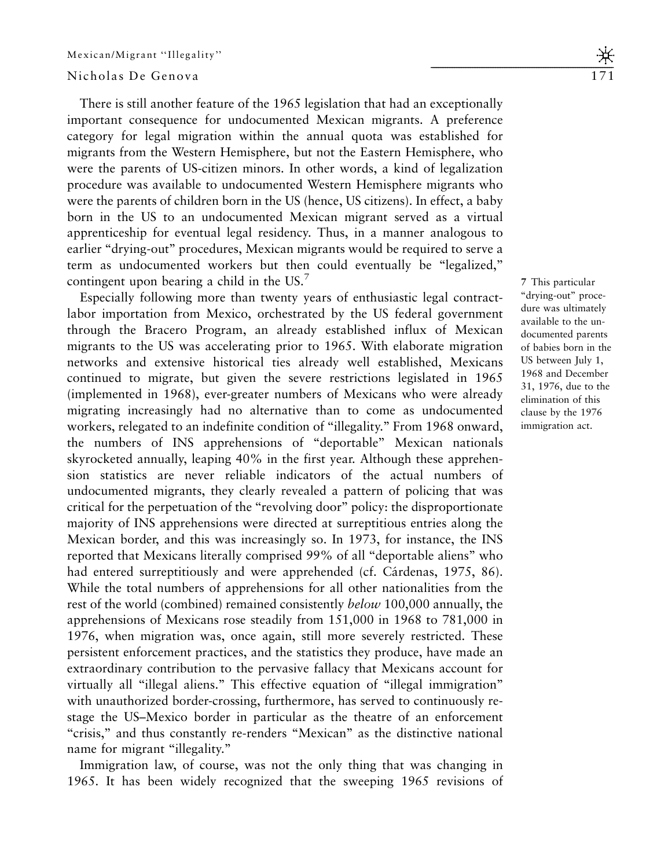There is still another feature of the 1965 legislation that had an exceptionally important consequence for undocumented Mexican migrants. A preference category for legal migration within the annual quota was established for migrants from the Western Hemisphere, but not the Eastern Hemisphere, who were the parents of US-citizen minors. In other words, a kind of legalization procedure was available to undocumented Western Hemisphere migrants who were the parents of children born in the US (hence, US citizens). In effect, a baby born in the US to an undocumented Mexican migrant served as a virtual apprenticeship for eventual legal residency. Thus, in a manner analogous to earlier "drying-out" procedures, Mexican migrants would be required to serve a term as undocumented workers but then could eventually be ''legalized,'' contingent upon bearing a child in the US.<sup>7</sup>

Especially following more than twenty years of enthusiastic legal contractlabor importation from Mexico, orchestrated by the US federal government through the Bracero Program, an already established influx of Mexican migrants to the US was accelerating prior to 1965. With elaborate migration networks and extensive historical ties already well established, Mexicans continued to migrate, but given the severe restrictions legislated in 1965 (implemented in 1968), ever-greater numbers of Mexicans who were already migrating increasingly had no alternative than to come as undocumented workers, relegated to an indefinite condition of ''illegality.'' From 1968 onward, the numbers of INS apprehensions of ''deportable'' Mexican nationals skyrocketed annually, leaping 40% in the first year. Although these apprehension statistics are never reliable indicators of the actual numbers of undocumented migrants, they clearly revealed a pattern of policing that was critical for the perpetuation of the ''revolving door'' policy: the disproportionate majority of INS apprehensions were directed at surreptitious entries along the Mexican border, and this was increasingly so. In 1973, for instance, the INS reported that Mexicans literally comprised 99% of all ''deportable aliens'' who had entered surreptitiously and were apprehended (cf. Cárdenas, 1975, 86). While the total numbers of apprehensions for all other nationalities from the rest of the world (combined) remained consistently *below* 100,000 annually, the apprehensions of Mexicans rose steadily from 151,000 in 1968 to 781,000 in 1976, when migration was, once again, still more severely restricted. These persistent enforcement practices, and the statistics they produce, have made an extraordinary contribution to the pervasive fallacy that Mexicans account for virtually all ''illegal aliens.'' This effective equation of ''illegal immigration'' with unauthorized border-crossing, furthermore, has served to continuously restage the US–Mexico border in particular as the theatre of an enforcement "crisis," and thus constantly re-renders "Mexican" as the distinctive national name for migrant "illegality."

Immigration law, of course, was not the only thing that was changing in 1965. It has been widely recognized that the sweeping 1965 revisions of 7 This particular "drying-out" procedure was ultimately available to the undocumented parents of babies born in the US between July 1, 1968 and December 31, 1976, due to the elimination of this clause by the 1976 immigration act.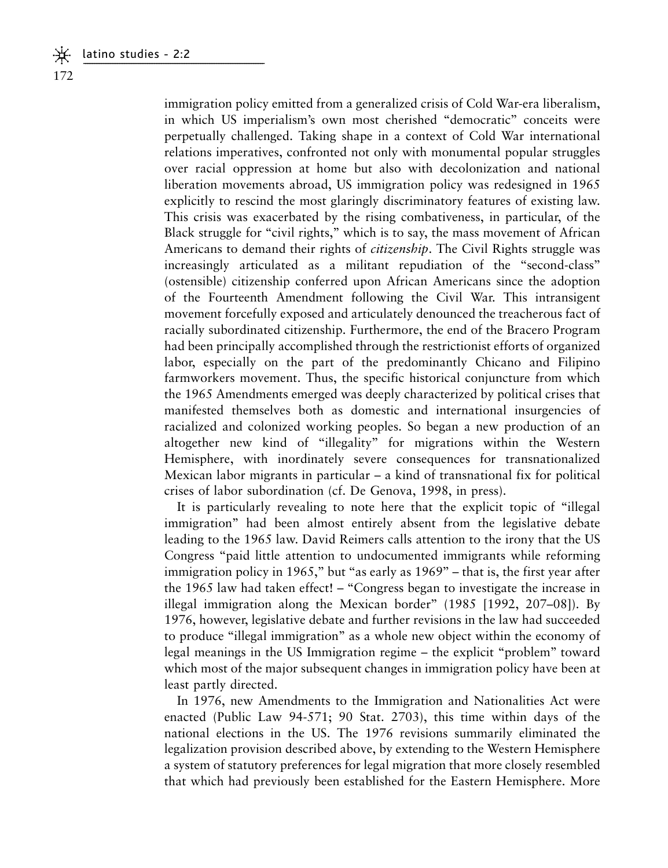immigration policy emitted from a generalized crisis of Cold War-era liberalism, in which US imperialism's own most cherished ''democratic'' conceits were perpetually challenged. Taking shape in a context of Cold War international relations imperatives, confronted not only with monumental popular struggles over racial oppression at home but also with decolonization and national liberation movements abroad, US immigration policy was redesigned in 1965 explicitly to rescind the most glaringly discriminatory features of existing law. This crisis was exacerbated by the rising combativeness, in particular, of the Black struggle for "civil rights," which is to say, the mass movement of African Americans to demand their rights of *citizenship*. The Civil Rights struggle was increasingly articulated as a militant repudiation of the ''second-class'' (ostensible) citizenship conferred upon African Americans since the adoption of the Fourteenth Amendment following the Civil War. This intransigent movement forcefully exposed and articulately denounced the treacherous fact of racially subordinated citizenship. Furthermore, the end of the Bracero Program had been principally accomplished through the restrictionist efforts of organized labor, especially on the part of the predominantly Chicano and Filipino farmworkers movement. Thus, the specific historical conjuncture from which the 1965 Amendments emerged was deeply characterized by political crises that manifested themselves both as domestic and international insurgencies of racialized and colonized working peoples. So began a new production of an altogether new kind of ''illegality'' for migrations within the Western Hemisphere, with inordinately severe consequences for transnationalized Mexican labor migrants in particular – a kind of transnational fix for political crises of labor subordination (cf. De Genova, 1998, in press).

It is particularly revealing to note here that the explicit topic of ''illegal immigration'' had been almost entirely absent from the legislative debate leading to the 1965 law. David Reimers calls attention to the irony that the US Congress ''paid little attention to undocumented immigrants while reforming immigration policy in 1965," but "as early as 1969" – that is, the first year after the 1965 law had taken effect! – ''Congress began to investigate the increase in illegal immigration along the Mexican border'' (1985 [1992, 207–08]). By 1976, however, legislative debate and further revisions in the law had succeeded to produce ''illegal immigration'' as a whole new object within the economy of legal meanings in the US Immigration regime – the explicit ''problem'' toward which most of the major subsequent changes in immigration policy have been at least partly directed.

In 1976, new Amendments to the Immigration and Nationalities Act were enacted (Public Law 94-571; 90 Stat. 2703), this time within days of the national elections in the US. The 1976 revisions summarily eliminated the legalization provision described above, by extending to the Western Hemisphere a system of statutory preferences for legal migration that more closely resembled that which had previously been established for the Eastern Hemisphere. More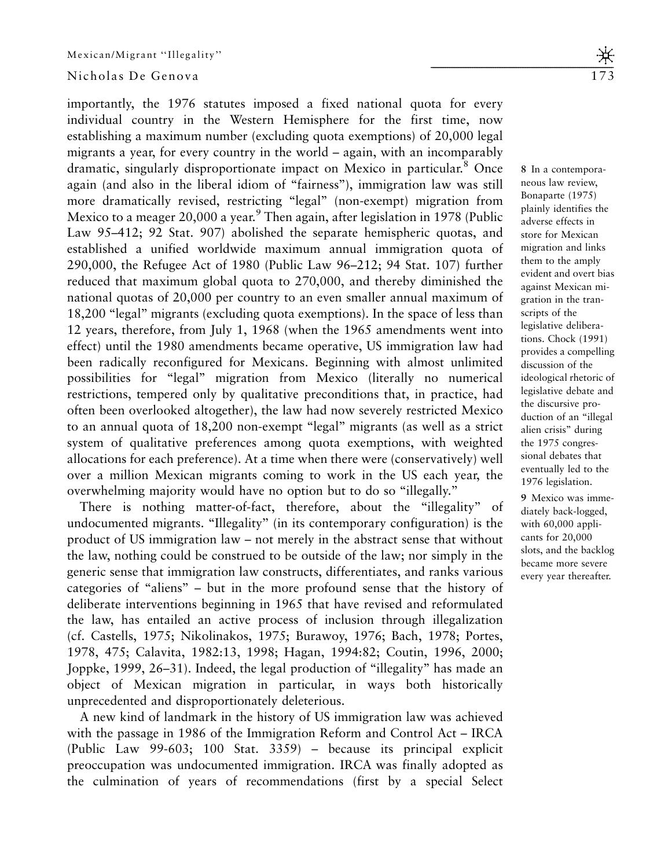importantly, the 1976 statutes imposed a fixed national quota for every individual country in the Western Hemisphere for the first time, now establishing a maximum number (excluding quota exemptions) of 20,000 legal migrants a year, for every country in the world – again, with an incomparably dramatic, singularly disproportionate impact on Mexico in particular.<sup>8</sup> Once again (and also in the liberal idiom of ''fairness''), immigration law was still more dramatically revised, restricting "legal" (non-exempt) migration from Mexico to a meager 20,000 a year.<sup>9</sup> Then again, after legislation in 1978 (Public Law 95–412; 92 Stat. 907) abolished the separate hemispheric quotas, and established a unified worldwide maximum annual immigration quota of 290,000, the Refugee Act of 1980 (Public Law 96–212; 94 Stat. 107) further reduced that maximum global quota to 270,000, and thereby diminished the national quotas of 20,000 per country to an even smaller annual maximum of 18,200 ''legal'' migrants (excluding quota exemptions). In the space of less than 12 years, therefore, from July 1, 1968 (when the 1965 amendments went into effect) until the 1980 amendments became operative, US immigration law had been radically reconfigured for Mexicans. Beginning with almost unlimited possibilities for ''legal'' migration from Mexico (literally no numerical restrictions, tempered only by qualitative preconditions that, in practice, had often been overlooked altogether), the law had now severely restricted Mexico to an annual quota of 18,200 non-exempt ''legal'' migrants (as well as a strict system of qualitative preferences among quota exemptions, with weighted allocations for each preference). At a time when there were (conservatively) well over a million Mexican migrants coming to work in the US each year, the overwhelming majority would have no option but to do so ''illegally.''

There is nothing matter-of-fact, therefore, about the "illegality" of undocumented migrants. ''Illegality'' (in its contemporary configuration) is the product of US immigration law – not merely in the abstract sense that without the law, nothing could be construed to be outside of the law; nor simply in the generic sense that immigration law constructs, differentiates, and ranks various categories of "aliens" – but in the more profound sense that the history of deliberate interventions beginning in 1965 that have revised and reformulated the law, has entailed an active process of inclusion through illegalization (cf. Castells, 1975; Nikolinakos, 1975; Burawoy, 1976; Bach, 1978; Portes, 1978, 475; Calavita, 1982:13, 1998; Hagan, 1994:82; Coutin, 1996, 2000; Joppke, 1999, 26–31). Indeed, the legal production of ''illegality'' has made an object of Mexican migration in particular, in ways both historically unprecedented and disproportionately deleterious.

A new kind of landmark in the history of US immigration law was achieved with the passage in 1986 of the Immigration Reform and Control Act – IRCA (Public Law 99-603; 100 Stat. 3359) – because its principal explicit preoccupation was undocumented immigration. IRCA was finally adopted as the culmination of years of recommendations (first by a special Select

8 In a contemporaneous law review, Bonaparte (1975) plainly identifies the adverse effects in store for Mexican migration and links them to the amply evident and overt bias against Mexican migration in the transcripts of the legislative deliberations. Chock (1991) provides a compelling discussion of the ideological rhetoric of legislative debate and the discursive production of an ''illegal alien crisis'' during the 1975 congressional debates that eventually led to the 1976 legislation.

9 Mexico was immediately back-logged, with 60,000 applicants for 20,000 slots, and the backlog became more severe every year thereafter.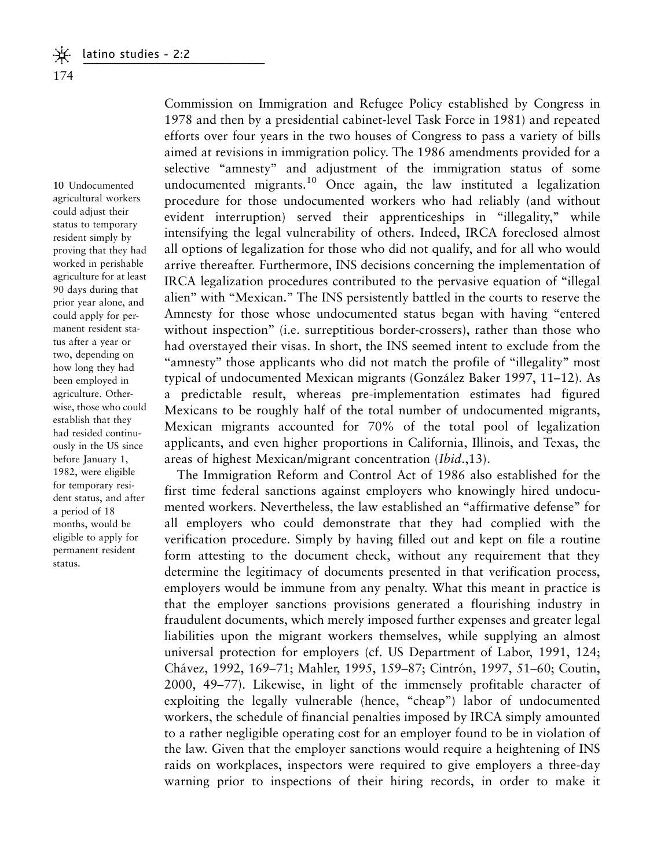174

10 Undocumented agricultural workers could adjust their status to temporary resident simply by proving that they had worked in perishable agriculture for at least 90 days during that prior year alone, and could apply for permanent resident status after a year or two, depending on how long they had been employed in agriculture. Otherwise, those who could establish that they had resided continuously in the US since before January 1, 1982, were eligible for temporary resident status, and after a period of 18 months, would be eligible to apply for permanent resident status.

Commission on Immigration and Refugee Policy established by Congress in 1978 and then by a presidential cabinet-level Task Force in 1981) and repeated efforts over four years in the two houses of Congress to pass a variety of bills aimed at revisions in immigration policy. The 1986 amendments provided for a selective "amnesty" and adjustment of the immigration status of some undocumented migrants.<sup>10</sup> Once again, the law instituted a legalization procedure for those undocumented workers who had reliably (and without evident interruption) served their apprenticeships in "illegality," while intensifying the legal vulnerability of others. Indeed, IRCA foreclosed almost all options of legalization for those who did not qualify, and for all who would arrive thereafter. Furthermore, INS decisions concerning the implementation of IRCA legalization procedures contributed to the pervasive equation of ''illegal alien'' with ''Mexican.'' The INS persistently battled in the courts to reserve the Amnesty for those whose undocumented status began with having ''entered without inspection" (i.e. surreptitious border-crossers), rather than those who had overstayed their visas. In short, the INS seemed intent to exclude from the ''amnesty'' those applicants who did not match the profile of ''illegality'' most typical of undocumented Mexican migrants (González Baker 1997, 11–12). As a predictable result, whereas pre-implementation estimates had figured Mexicans to be roughly half of the total number of undocumented migrants, Mexican migrants accounted for 70% of the total pool of legalization applicants, and even higher proportions in California, Illinois, and Texas, the areas of highest Mexican/migrant concentration (Ibid.,13).

The Immigration Reform and Control Act of 1986 also established for the first time federal sanctions against employers who knowingly hired undocumented workers. Nevertheless, the law established an ''affirmative defense'' for all employers who could demonstrate that they had complied with the verification procedure. Simply by having filled out and kept on file a routine form attesting to the document check, without any requirement that they determine the legitimacy of documents presented in that verification process, employers would be immune from any penalty. What this meant in practice is that the employer sanctions provisions generated a flourishing industry in fraudulent documents, which merely imposed further expenses and greater legal liabilities upon the migrant workers themselves, while supplying an almost universal protection for employers (cf. US Department of Labor, 1991, 124; Chávez, 1992, 169–71; Mahler, 1995, 159–87; Cintrón, 1997, 51–60; Coutin, 2000, 49–77). Likewise, in light of the immensely profitable character of exploiting the legally vulnerable (hence, "cheap") labor of undocumented workers, the schedule of financial penalties imposed by IRCA simply amounted to a rather negligible operating cost for an employer found to be in violation of the law. Given that the employer sanctions would require a heightening of INS raids on workplaces, inspectors were required to give employers a three-day warning prior to inspections of their hiring records, in order to make it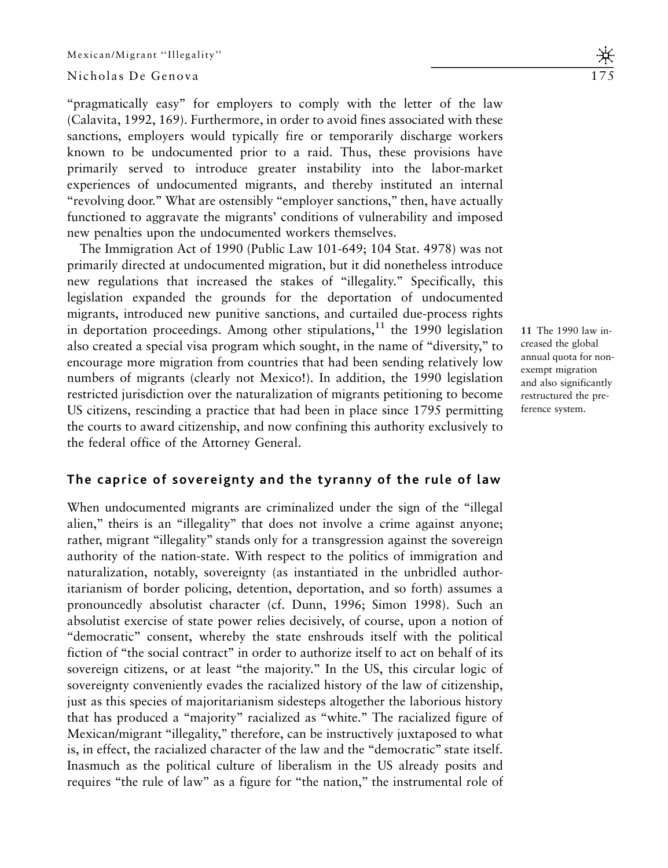''pragmatically easy'' for employers to comply with the letter of the law (Calavita, 1992, 169). Furthermore, in order to avoid fines associated with these sanctions, employers would typically fire or temporarily discharge workers known to be undocumented prior to a raid. Thus, these provisions have primarily served to introduce greater instability into the labor-market experiences of undocumented migrants, and thereby instituted an internal ''revolving door.'' What are ostensibly ''employer sanctions,'' then, have actually functioned to aggravate the migrants' conditions of vulnerability and imposed new penalties upon the undocumented workers themselves.

The Immigration Act of 1990 (Public Law 101-649; 104 Stat. 4978) was not primarily directed at undocumented migration, but it did nonetheless introduce new regulations that increased the stakes of ''illegality.'' Specifically, this legislation expanded the grounds for the deportation of undocumented migrants, introduced new punitive sanctions, and curtailed due-process rights in deportation proceedings. Among other stipulations,<sup>11</sup> the 1990 legislation also created a special visa program which sought, in the name of ''diversity,'' to encourage more migration from countries that had been sending relatively low numbers of migrants (clearly not Mexico!). In addition, the 1990 legislation restricted jurisdiction over the naturalization of migrants petitioning to become US citizens, rescinding a practice that had been in place since 1795 permitting the courts to award citizenship, and now confining this authority exclusively to the federal office of the Attorney General.

11 The 1990 law increased the global annual quota for nonexempt migration and also significantly restructured the preference system.

## The caprice of sovereignty and the tyranny of the rule of law

When undocumented migrants are criminalized under the sign of the "illegal alien," theirs is an "illegality" that does not involve a crime against anyone; rather, migrant "illegality" stands only for a transgression against the sovereign authority of the nation-state. With respect to the politics of immigration and naturalization, notably, sovereignty (as instantiated in the unbridled authoritarianism of border policing, detention, deportation, and so forth) assumes a pronouncedly absolutist character (cf. Dunn, 1996; Simon 1998). Such an absolutist exercise of state power relies decisively, of course, upon a notion of ''democratic'' consent, whereby the state enshrouds itself with the political fiction of ''the social contract'' in order to authorize itself to act on behalf of its sovereign citizens, or at least ''the majority.'' In the US, this circular logic of sovereignty conveniently evades the racialized history of the law of citizenship, just as this species of majoritarianism sidesteps altogether the laborious history that has produced a ''majority'' racialized as ''white.'' The racialized figure of Mexican/migrant ''illegality,'' therefore, can be instructively juxtaposed to what is, in effect, the racialized character of the law and the ''democratic'' state itself. Inasmuch as the political culture of liberalism in the US already posits and requires ''the rule of law'' as a figure for ''the nation,'' the instrumental role of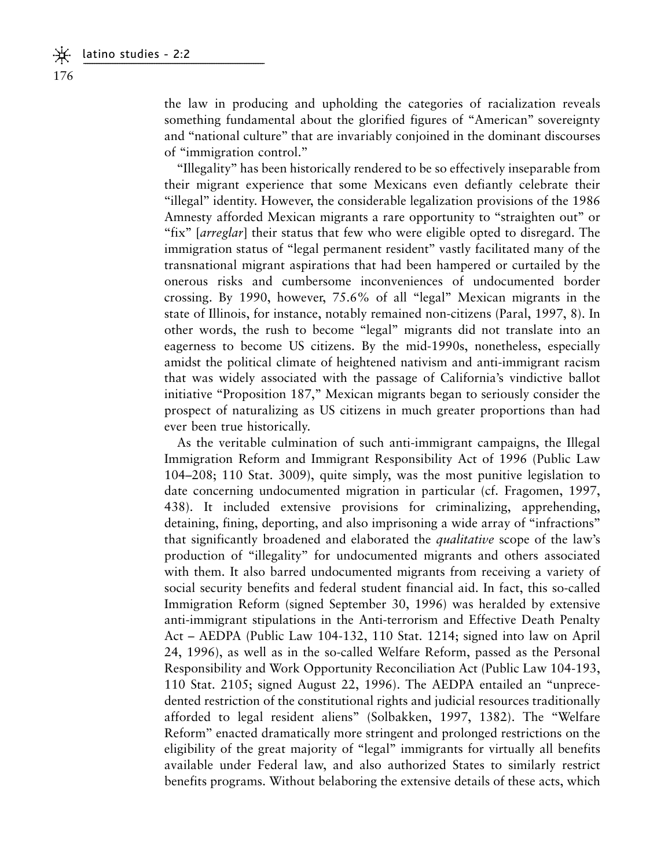the law in producing and upholding the categories of racialization reveals something fundamental about the glorified figures of ''American'' sovereignty and ''national culture'' that are invariably conjoined in the dominant discourses of ''immigration control.''

''Illegality'' has been historically rendered to be so effectively inseparable from their migrant experience that some Mexicans even defiantly celebrate their ''illegal'' identity. However, the considerable legalization provisions of the 1986 Amnesty afforded Mexican migrants a rare opportunity to "straighten out" or "fix" [arreglar] their status that few who were eligible opted to disregard. The immigration status of ''legal permanent resident'' vastly facilitated many of the transnational migrant aspirations that had been hampered or curtailed by the onerous risks and cumbersome inconveniences of undocumented border crossing. By 1990, however, 75.6% of all ''legal'' Mexican migrants in the state of Illinois, for instance, notably remained non-citizens (Paral, 1997, 8). In other words, the rush to become ''legal'' migrants did not translate into an eagerness to become US citizens. By the mid-1990s, nonetheless, especially amidst the political climate of heightened nativism and anti-immigrant racism that was widely associated with the passage of California's vindictive ballot initiative "Proposition 187," Mexican migrants began to seriously consider the prospect of naturalizing as US citizens in much greater proportions than had ever been true historically.

As the veritable culmination of such anti-immigrant campaigns, the Illegal Immigration Reform and Immigrant Responsibility Act of 1996 (Public Law 104–208; 110 Stat. 3009), quite simply, was the most punitive legislation to date concerning undocumented migration in particular (cf. Fragomen, 1997, 438). It included extensive provisions for criminalizing, apprehending, detaining, fining, deporting, and also imprisoning a wide array of ''infractions'' that significantly broadened and elaborated the qualitative scope of the law's production of ''illegality'' for undocumented migrants and others associated with them. It also barred undocumented migrants from receiving a variety of social security benefits and federal student financial aid. In fact, this so-called Immigration Reform (signed September 30, 1996) was heralded by extensive anti-immigrant stipulations in the Anti-terrorism and Effective Death Penalty Act – AEDPA (Public Law 104-132, 110 Stat. 1214; signed into law on April 24, 1996), as well as in the so-called Welfare Reform, passed as the Personal Responsibility and Work Opportunity Reconciliation Act (Public Law 104-193, 110 Stat. 2105; signed August 22, 1996). The AEDPA entailed an ''unprecedented restriction of the constitutional rights and judicial resources traditionally afforded to legal resident aliens'' (Solbakken, 1997, 1382). The ''Welfare Reform'' enacted dramatically more stringent and prolonged restrictions on the eligibility of the great majority of ''legal'' immigrants for virtually all benefits available under Federal law, and also authorized States to similarly restrict benefits programs. Without belaboring the extensive details of these acts, which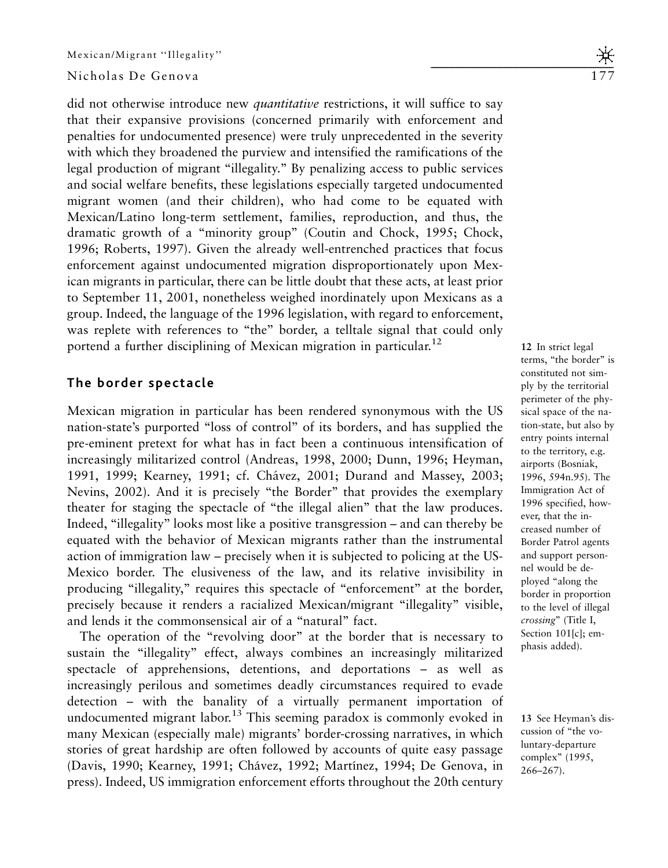did not otherwise introduce new *quantitative* restrictions, it will suffice to say that their expansive provisions (concerned primarily with enforcement and penalties for undocumented presence) were truly unprecedented in the severity with which they broadened the purview and intensified the ramifications of the legal production of migrant ''illegality.'' By penalizing access to public services and social welfare benefits, these legislations especially targeted undocumented migrant women (and their children), who had come to be equated with Mexican/Latino long-term settlement, families, reproduction, and thus, the dramatic growth of a ''minority group'' (Coutin and Chock, 1995; Chock, 1996; Roberts, 1997). Given the already well-entrenched practices that focus enforcement against undocumented migration disproportionately upon Mexican migrants in particular, there can be little doubt that these acts, at least prior to September 11, 2001, nonetheless weighed inordinately upon Mexicans as a group. Indeed, the language of the 1996 legislation, with regard to enforcement, was replete with references to "the" border, a telltale signal that could only portend a further disciplining of Mexican migration in particular.<sup>12</sup>

# The border spectacle

Mexican migration in particular has been rendered synonymous with the US nation-state's purported ''loss of control'' of its borders, and has supplied the pre-eminent pretext for what has in fact been a continuous intensification of increasingly militarized control (Andreas, 1998, 2000; Dunn, 1996; Heyman, 1991, 1999; Kearney, 1991; cf. Chávez, 2001; Durand and Massey, 2003; Nevins, 2002). And it is precisely "the Border" that provides the exemplary theater for staging the spectacle of ''the illegal alien'' that the law produces. Indeed, ''illegality'' looks most like a positive transgression – and can thereby be equated with the behavior of Mexican migrants rather than the instrumental action of immigration law – precisely when it is subjected to policing at the US-Mexico border. The elusiveness of the law, and its relative invisibility in producing "illegality," requires this spectacle of "enforcement" at the border, precisely because it renders a racialized Mexican/migrant ''illegality'' visible, and lends it the commonsensical air of a "natural" fact.

The operation of the "revolving door" at the border that is necessary to sustain the "illegality" effect, always combines an increasingly militarized spectacle of apprehensions, detentions, and deportations – as well as increasingly perilous and sometimes deadly circumstances required to evade detection – with the banality of a virtually permanent importation of undocumented migrant labor.<sup>13</sup> This seeming paradox is commonly evoked in many Mexican (especially male) migrants' border-crossing narratives, in which stories of great hardship are often followed by accounts of quite easy passage (Davis, 1990; Kearney, 1991; Chávez, 1992; Martínez, 1994; De Genova, in press). Indeed, US immigration enforcement efforts throughout the 20th century

12 In strict legal terms, "the border" is constituted not simply by the territorial perimeter of the physical space of the nation-state, but also by entry points internal to the territory, e.g. airports (Bosniak, 1996, 594n.95). The Immigration Act of 1996 specified, however, that the increased number of Border Patrol agents and support personnel would be deployed ''along the border in proportion to the level of illegal crossing'' (Title I, Section 101[c]; emphasis added).

13 See Heyman's discussion of ''the voluntary-departure complex'' (1995, 266–267).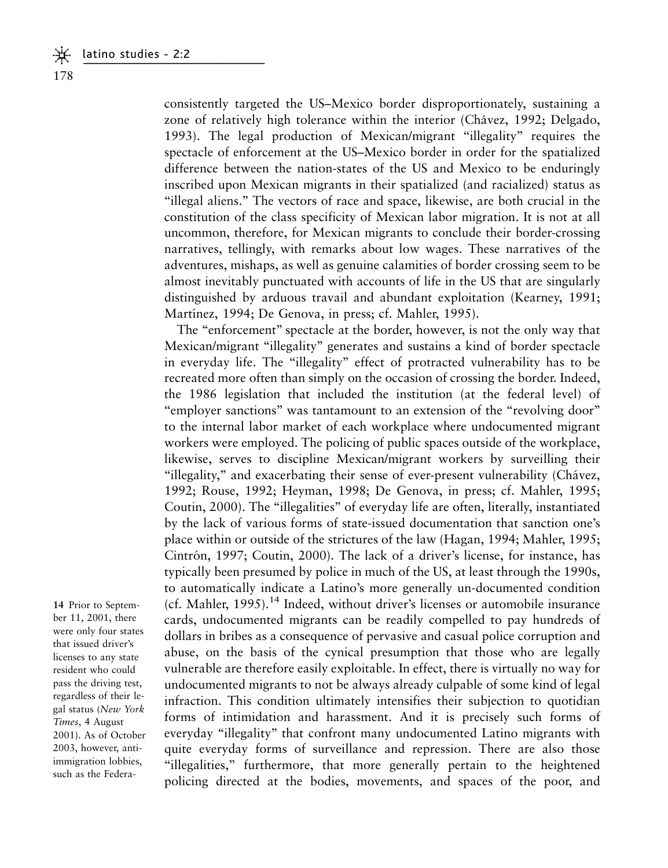178

consistently targeted the US–Mexico border disproportionately, sustaining a zone of relatively high tolerance within the interior (Chávez, 1992; Delgado, 1993). The legal production of Mexican/migrant ''illegality'' requires the spectacle of enforcement at the US–Mexico border in order for the spatialized difference between the nation-states of the US and Mexico to be enduringly inscribed upon Mexican migrants in their spatialized (and racialized) status as ''illegal aliens.'' The vectors of race and space, likewise, are both crucial in the constitution of the class specificity of Mexican labor migration. It is not at all uncommon, therefore, for Mexican migrants to conclude their border-crossing narratives, tellingly, with remarks about low wages. These narratives of the adventures, mishaps, as well as genuine calamities of border crossing seem to be almost inevitably punctuated with accounts of life in the US that are singularly distinguished by arduous travail and abundant exploitation (Kearney, 1991; Martínez, 1994; De Genova, in press; cf. Mahler, 1995).

The "enforcement" spectacle at the border, however, is not the only way that Mexican/migrant ''illegality'' generates and sustains a kind of border spectacle in everyday life. The ''illegality'' effect of protracted vulnerability has to be recreated more often than simply on the occasion of crossing the border. Indeed, the 1986 legislation that included the institution (at the federal level) of ''employer sanctions'' was tantamount to an extension of the ''revolving door'' to the internal labor market of each workplace where undocumented migrant workers were employed. The policing of public spaces outside of the workplace, likewise, serves to discipline Mexican/migrant workers by surveilling their ''illegality,'' and exacerbating their sense of ever-present vulnerability (Cha´vez, 1992; Rouse, 1992; Heyman, 1998; De Genova, in press; cf. Mahler, 1995; Coutin, 2000). The ''illegalities'' of everyday life are often, literally, instantiated by the lack of various forms of state-issued documentation that sanction one's place within or outside of the strictures of the law (Hagan, 1994; Mahler, 1995; Cintrón, 1997; Coutin, 2000). The lack of a driver's license, for instance, has typically been presumed by police in much of the US, at least through the 1990s, to automatically indicate a Latino's more generally un-documented condition (cf. Mahler,  $1995$ ).<sup>14</sup> Indeed, without driver's licenses or automobile insurance cards, undocumented migrants can be readily compelled to pay hundreds of dollars in bribes as a consequence of pervasive and casual police corruption and abuse, on the basis of the cynical presumption that those who are legally vulnerable are therefore easily exploitable. In effect, there is virtually no way for undocumented migrants to not be always already culpable of some kind of legal infraction. This condition ultimately intensifies their subjection to quotidian forms of intimidation and harassment. And it is precisely such forms of everyday ''illegality'' that confront many undocumented Latino migrants with quite everyday forms of surveillance and repression. There are also those ''illegalities,'' furthermore, that more generally pertain to the heightened policing directed at the bodies, movements, and spaces of the poor, and

14 Prior to September 11, 2001, there were only four states that issued driver's licenses to any state resident who could pass the driving test, regardless of their legal status (New York Times, 4 August 2001). As of October 2003, however, antiimmigration lobbies, such as the Federa-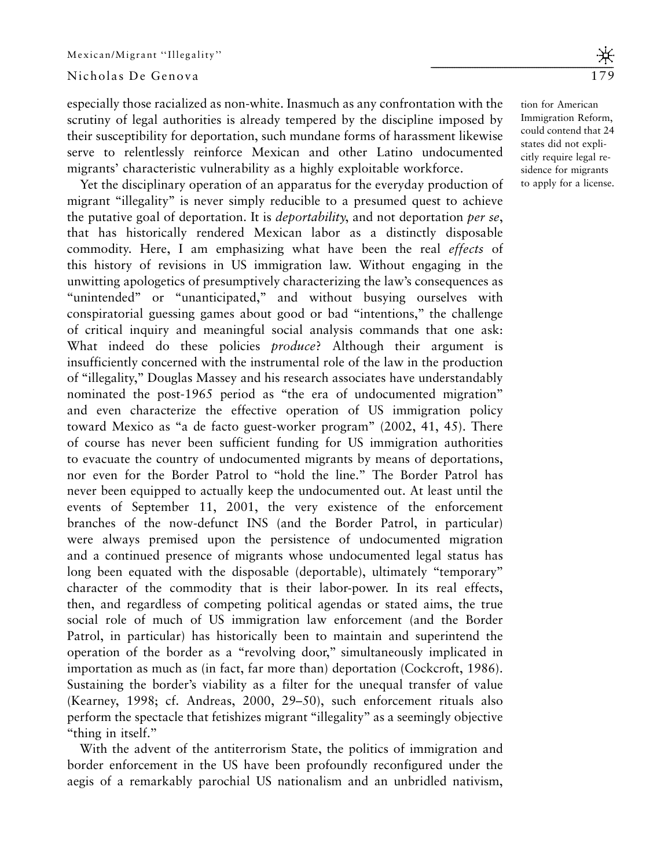especially those racialized as non-white. Inasmuch as any confrontation with the scrutiny of legal authorities is already tempered by the discipline imposed by their susceptibility for deportation, such mundane forms of harassment likewise serve to relentlessly reinforce Mexican and other Latino undocumented migrants' characteristic vulnerability as a highly exploitable workforce.

Yet the disciplinary operation of an apparatus for the everyday production of migrant ''illegality'' is never simply reducible to a presumed quest to achieve the putative goal of deportation. It is *deportability*, and not deportation *per se*, that has historically rendered Mexican labor as a distinctly disposable commodity. Here, I am emphasizing what have been the real effects of this history of revisions in US immigration law. Without engaging in the unwitting apologetics of presumptively characterizing the law's consequences as "unintended" or "unanticipated," and without busying ourselves with conspiratorial guessing games about good or bad ''intentions,'' the challenge of critical inquiry and meaningful social analysis commands that one ask: What indeed do these policies *produce*? Although their argument is insufficiently concerned with the instrumental role of the law in the production of ''illegality,'' Douglas Massey and his research associates have understandably nominated the post-1965 period as ''the era of undocumented migration'' and even characterize the effective operation of US immigration policy toward Mexico as ''a de facto guest-worker program'' (2002, 41, 45). There of course has never been sufficient funding for US immigration authorities to evacuate the country of undocumented migrants by means of deportations, nor even for the Border Patrol to ''hold the line.'' The Border Patrol has never been equipped to actually keep the undocumented out. At least until the events of September 11, 2001, the very existence of the enforcement branches of the now-defunct INS (and the Border Patrol, in particular) were always premised upon the persistence of undocumented migration and a continued presence of migrants whose undocumented legal status has long been equated with the disposable (deportable), ultimately "temporary" character of the commodity that is their labor-power. In its real effects, then, and regardless of competing political agendas or stated aims, the true social role of much of US immigration law enforcement (and the Border Patrol, in particular) has historically been to maintain and superintend the operation of the border as a ''revolving door,'' simultaneously implicated in importation as much as (in fact, far more than) deportation (Cockcroft, 1986). Sustaining the border's viability as a filter for the unequal transfer of value (Kearney, 1998; cf. Andreas, 2000, 29–50), such enforcement rituals also perform the spectacle that fetishizes migrant ''illegality'' as a seemingly objective ''thing in itself.''

With the advent of the antiterrorism State, the politics of immigration and border enforcement in the US have been profoundly reconfigured under the aegis of a remarkably parochial US nationalism and an unbridled nativism,

tion for American Immigration Reform, could contend that 24 states did not explicitly require legal residence for migrants to apply for a license.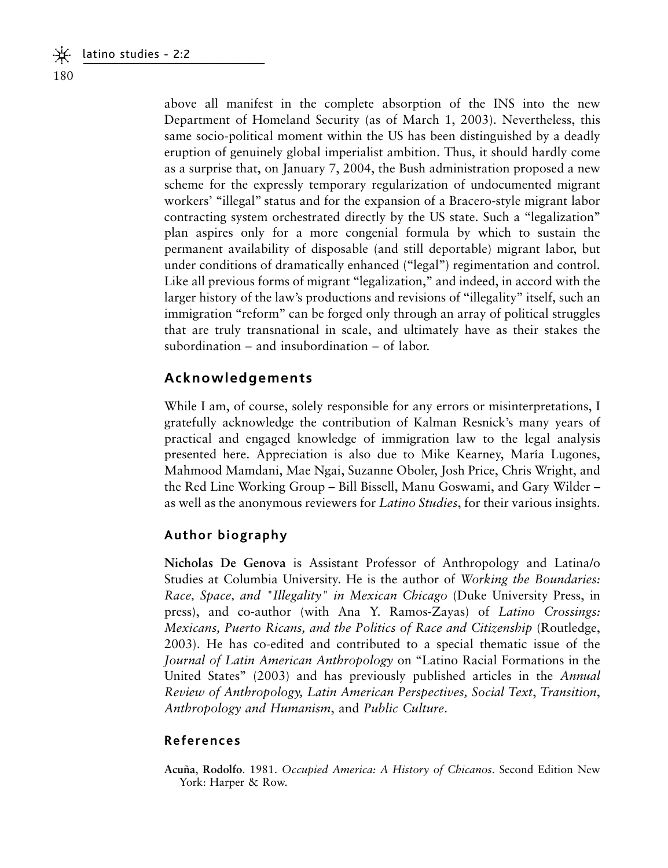above all manifest in the complete absorption of the INS into the new Department of Homeland Security (as of March 1, 2003). Nevertheless, this same socio-political moment within the US has been distinguished by a deadly eruption of genuinely global imperialist ambition. Thus, it should hardly come as a surprise that, on January 7, 2004, the Bush administration proposed a new scheme for the expressly temporary regularization of undocumented migrant workers' ''illegal'' status and for the expansion of a Bracero-style migrant labor contracting system orchestrated directly by the US state. Such a ''legalization'' plan aspires only for a more congenial formula by which to sustain the permanent availability of disposable (and still deportable) migrant labor, but under conditions of dramatically enhanced (''legal'') regimentation and control. Like all previous forms of migrant ''legalization,'' and indeed, in accord with the larger history of the law's productions and revisions of ''illegality'' itself, such an immigration "reform" can be forged only through an array of political struggles that are truly transnational in scale, and ultimately have as their stakes the subordination – and insubordination – of labor.

# Acknowledgements

While I am, of course, solely responsible for any errors or misinterpretations, I gratefully acknowledge the contribution of Kalman Resnick's many years of practical and engaged knowledge of immigration law to the legal analysis presented here. Appreciation is also due to Mike Kearney, María Lugones, Mahmood Mamdani, Mae Ngai, Suzanne Oboler, Josh Price, Chris Wright, and the Red Line Working Group – Bill Bissell, Manu Goswami, and Gary Wilder – as well as the anonymous reviewers for Latino Studies, for their various insights.

## Author biography

Nicholas De Genova is Assistant Professor of Anthropology and Latina/o Studies at Columbia University. He is the author of Working the Boundaries: Race, Space, and "Illegality" in Mexican Chicago (Duke University Press, in press), and co-author (with Ana Y. Ramos-Zayas) of Latino Crossings: Mexicans, Puerto Ricans, and the Politics of Race and Citizenship (Routledge, 2003). He has co-edited and contributed to a special thematic issue of the Journal of Latin American Anthropology on ''Latino Racial Formations in the United States" (2003) and has previously published articles in the Annual Review of Anthropology, Latin American Perspectives, Social Text, Transition, Anthropology and Humanism, and Public Culture.

## References

Acuña, Rodolfo. 1981. Occupied America: A History of Chicanos. Second Edition New York: Harper & Row.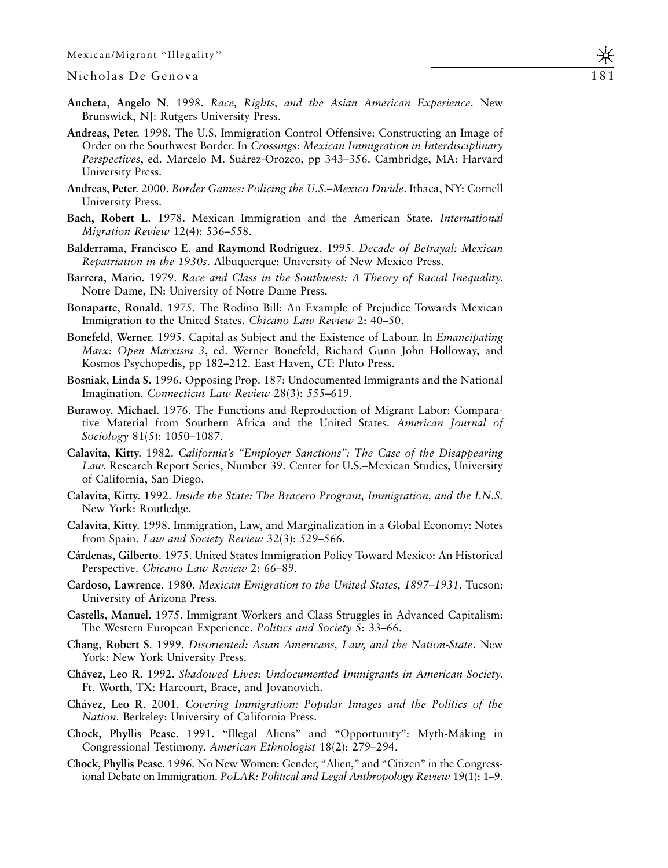- Ancheta, Angelo N. 1998. Race, Rights, and the Asian American Experience. New Brunswick, NJ: Rutgers University Press.
- Andreas, Peter. 1998. The U.S. Immigration Control Offensive: Constructing an Image of Order on the Southwest Border. In Crossings: Mexican Immigration in Interdisciplinary Perspectives, ed. Marcelo M. Suárez-Orozco, pp 343–356. Cambridge, MA: Harvard University Press.
- Andreas, Peter. 2000. Border Games: Policing the U.S.–Mexico Divide. Ithaca, NY: Cornell University Press.
- Bach, Robert L. 1978. Mexican Immigration and the American State. International Migration Review 12(4): 536–558.
- Balderrama, Francisco E. and Raymond Rodríguez. 1995. Decade of Betrayal: Mexican Repatriation in the 1930s. Albuquerque: University of New Mexico Press.
- Barrera, Mario. 1979. Race and Class in the Southwest: A Theory of Racial Inequality. Notre Dame, IN: University of Notre Dame Press.
- Bonaparte, Ronald. 1975. The Rodino Bill: An Example of Prejudice Towards Mexican Immigration to the United States. Chicano Law Review 2: 40–50.
- Bonefeld, Werner. 1995. Capital as Subject and the Existence of Labour. In Emancipating Marx: Open Marxism 3, ed. Werner Bonefeld, Richard Gunn John Holloway, and Kosmos Psychopedis, pp 182–212. East Haven, CT: Pluto Press.
- Bosniak, Linda S. 1996. Opposing Prop. 187: Undocumented Immigrants and the National Imagination. Connecticut Law Review 28(3): 555–619.
- Burawoy, Michael. 1976. The Functions and Reproduction of Migrant Labor: Comparative Material from Southern Africa and the United States. American Journal of Sociology 81(5): 1050–1087.
- Calavita, Kitty. 1982. California's ''Employer Sanctions'': The Case of the Disappearing Law. Research Report Series, Number 39. Center for U.S.–Mexican Studies, University of California, San Diego.
- Calavita, Kitty. 1992. Inside the State: The Bracero Program, Immigration, and the I.N.S. New York: Routledge.
- Calavita, Kitty. 1998. Immigration, Law, and Marginalization in a Global Economy: Notes from Spain. Law and Society Review 32(3): 529–566.
- Ca´rdenas, Gilberto. 1975. United States Immigration Policy Toward Mexico: An Historical Perspective. Chicano Law Review 2: 66–89.
- Cardoso, Lawrence. 1980. Mexican Emigration to the United States, 1897–1931. Tucson: University of Arizona Press.
- Castells, Manuel. 1975. Immigrant Workers and Class Struggles in Advanced Capitalism: The Western European Experience. Politics and Society 5: 33–66.
- Chang, Robert S. 1999. Disoriented: Asian Americans, Law, and the Nation-State. New York: New York University Press.
- Chávez, Leo R. 1992. Shadowed Lives: Undocumented Immigrants in American Society. Ft. Worth, TX: Harcourt, Brace, and Jovanovich.
- Chávez, Leo R. 2001. Covering Immigration: Popular Images and the Politics of the Nation. Berkeley: University of California Press.
- Chock, Phyllis Pease. 1991. ''Illegal Aliens'' and ''Opportunity'': Myth-Making in Congressional Testimony. American Ethnologist 18(2): 279–294.
- Chock, Phyllis Pease. 1996. No New Women: Gender, ''Alien,'' and ''Citizen'' in the Congressional Debate on Immigration. PoLAR: Political and Legal Anthropology Review 19(1): 1–9.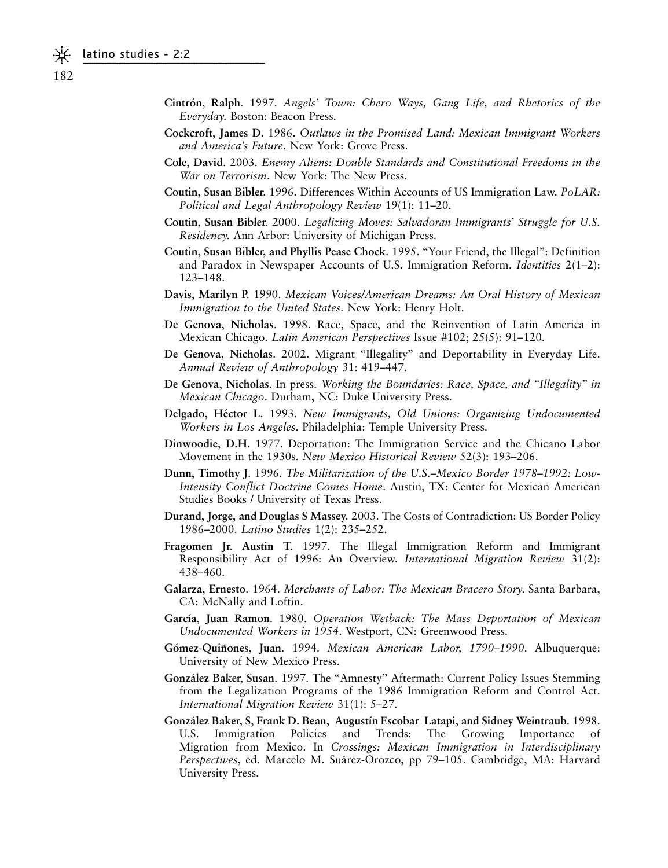- Cintrón, Ralph. 1997. Angels' Town: Chero Ways, Gang Life, and Rhetorics of the Everyday. Boston: Beacon Press.
- Cockcroft, James D. 1986. Outlaws in the Promised Land: Mexican Immigrant Workers and America's Future. New York: Grove Press.
- Cole, David. 2003. Enemy Aliens: Double Standards and Constitutional Freedoms in the War on Terrorism. New York: The New Press.
- Coutin, Susan Bibler. 1996. Differences Within Accounts of US Immigration Law. PoLAR: Political and Legal Anthropology Review 19(1): 11–20.
- Coutin, Susan Bibler. 2000. Legalizing Moves: Salvadoran Immigrants' Struggle for U.S. Residency. Ann Arbor: University of Michigan Press.
- Coutin, Susan Bibler, and Phyllis Pease Chock. 1995. ''Your Friend, the Illegal'': Definition and Paradox in Newspaper Accounts of U.S. Immigration Reform. Identities 2(1–2): 123–148.
- Davis, Marilyn P. 1990. Mexican Voices/American Dreams: An Oral History of Mexican Immigration to the United States. New York: Henry Holt.
- De Genova, Nicholas. 1998. Race, Space, and the Reinvention of Latin America in Mexican Chicago. Latin American Perspectives Issue #102; 25(5): 91–120.
- De Genova, Nicholas. 2002. Migrant ''Illegality'' and Deportability in Everyday Life. Annual Review of Anthropology 31: 419–447.
- De Genova, Nicholas. In press. Working the Boundaries: Race, Space, and ''Illegality'' in Mexican Chicago. Durham, NC: Duke University Press.
- Delgado, Héctor L. 1993. New Immigrants, Old Unions: Organizing Undocumented Workers in Los Angeles. Philadelphia: Temple University Press.
- Dinwoodie, D.H. 1977. Deportation: The Immigration Service and the Chicano Labor Movement in the 1930s. New Mexico Historical Review 52(3): 193–206.
- Dunn, Timothy J. 1996. The Militarization of the U.S.–Mexico Border 1978–1992: Low-Intensity Conflict Doctrine Comes Home. Austin, TX: Center for Mexican American Studies Books / University of Texas Press.
- Durand, Jorge, and Douglas S Massey. 2003. The Costs of Contradiction: US Border Policy 1986–2000. Latino Studies 1(2): 235–252.
- Fragomen Jr. Austin T. 1997. The Illegal Immigration Reform and Immigrant Responsibility Act of 1996: An Overview. International Migration Review 31(2): 438–460.
- Galarza, Ernesto. 1964. Merchants of Labor: The Mexican Bracero Story. Santa Barbara, CA: McNally and Loftin.
- García, Juan Ramon. 1980. Operation Wetback: The Mass Deportation of Mexican Undocumented Workers in 1954. Westport, CN: Greenwood Press.
- Gómez-Quiñones, Juan. 1994. Mexican American Labor, 1790–1990. Albuquerque: University of New Mexico Press.
- González Baker, Susan. 1997. The "Amnesty" Aftermath: Current Policy Issues Stemming from the Legalization Programs of the 1986 Immigration Reform and Control Act. International Migration Review 31(1): 5–27.
- González Baker, S, Frank D. Bean, Augustín Escobar Latapi, and Sidney Weintraub. 1998. U.S. Immigration Policies and Trends: The Growing Importance of Migration from Mexico. In Crossings: Mexican Immigration in Interdisciplinary Perspectives, ed. Marcelo M. Suárez-Orozco, pp 79–105. Cambridge, MA: Harvard University Press.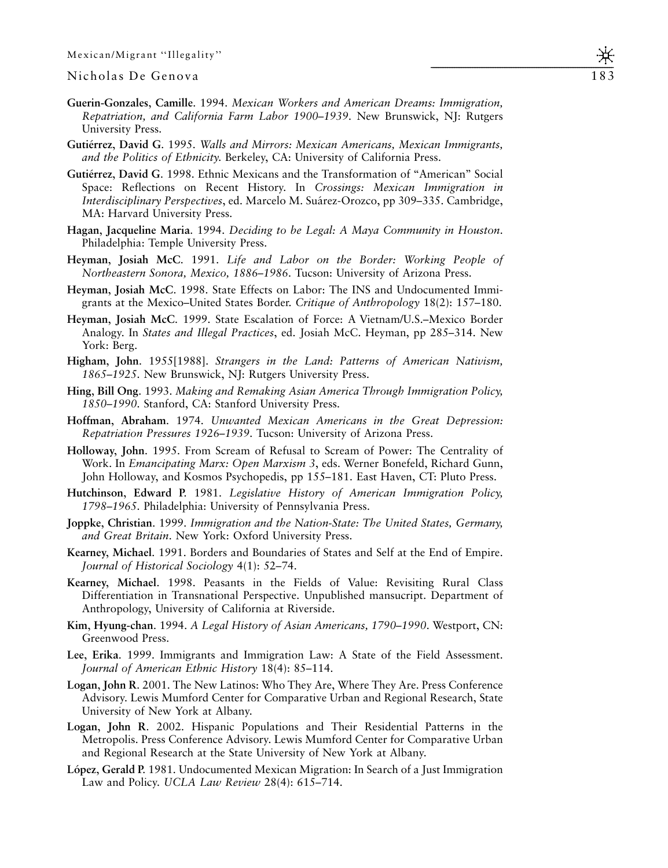- Guerin-Gonzales, Camille. 1994. Mexican Workers and American Dreams: Immigration, Repatriation, and California Farm Labor 1900–1939. New Brunswick, NJ: Rutgers University Press.
- Gutiérrez, David G. 1995. Walls and Mirrors: Mexican Americans, Mexican Immigrants, and the Politics of Ethnicity. Berkeley, CA: University of California Press.
- Gutiérrez, David G. 1998. Ethnic Mexicans and the Transformation of "American" Social Space: Reflections on Recent History. In Crossings: Mexican Immigration in Interdisciplinary Perspectives, ed. Marcelo M. Suárez-Orozco, pp 309–335. Cambridge, MA: Harvard University Press.
- Hagan, Jacqueline Maria. 1994. Deciding to be Legal: A Maya Community in Houston. Philadelphia: Temple University Press.
- Heyman, Josiah McC. 1991. Life and Labor on the Border: Working People of Northeastern Sonora, Mexico, 1886–1986. Tucson: University of Arizona Press.
- Heyman, Josiah McC. 1998. State Effects on Labor: The INS and Undocumented Immigrants at the Mexico–United States Border. Critique of Anthropology 18(2): 157–180.
- Heyman, Josiah McC. 1999. State Escalation of Force: A Vietnam/U.S.–Mexico Border Analogy. In States and Illegal Practices, ed. Josiah McC. Heyman, pp 285–314. New York: Berg.
- Higham, John. 1955[1988]. Strangers in the Land: Patterns of American Nativism, 1865–1925. New Brunswick, NJ: Rutgers University Press.
- Hing, Bill Ong. 1993. Making and Remaking Asian America Through Immigration Policy, 1850–1990. Stanford, CA: Stanford University Press.
- Hoffman, Abraham. 1974. Unwanted Mexican Americans in the Great Depression: Repatriation Pressures 1926–1939. Tucson: University of Arizona Press.
- Holloway, John. 1995. From Scream of Refusal to Scream of Power: The Centrality of Work. In Emancipating Marx: Open Marxism 3, eds. Werner Bonefeld, Richard Gunn, John Holloway, and Kosmos Psychopedis, pp 155–181. East Haven, CT: Pluto Press.
- Hutchinson, Edward P. 1981. Legislative History of American Immigration Policy, 1798–1965. Philadelphia: University of Pennsylvania Press.
- Joppke, Christian. 1999. Immigration and the Nation-State: The United States, Germany, and Great Britain. New York: Oxford University Press.
- Kearney, Michael. 1991. Borders and Boundaries of States and Self at the End of Empire. Journal of Historical Sociology 4(1): 52–74.
- Kearney, Michael. 1998. Peasants in the Fields of Value: Revisiting Rural Class Differentiation in Transnational Perspective. Unpublished mansucript. Department of Anthropology, University of California at Riverside.
- Kim, Hyung-chan. 1994. A Legal History of Asian Americans, 1790–1990. Westport, CN: Greenwood Press.
- Lee, Erika. 1999. Immigrants and Immigration Law: A State of the Field Assessment. Journal of American Ethnic History 18(4): 85–114.
- Logan, John R. 2001. The New Latinos: Who They Are, Where They Are. Press Conference Advisory. Lewis Mumford Center for Comparative Urban and Regional Research, State University of New York at Albany.
- Logan, John R. 2002. Hispanic Populations and Their Residential Patterns in the Metropolis. Press Conference Advisory. Lewis Mumford Center for Comparative Urban and Regional Research at the State University of New York at Albany.
- López, Gerald P. 1981. Undocumented Mexican Migration: In Search of a Just Immigration Law and Policy. UCLA Law Review 28(4): 615–714.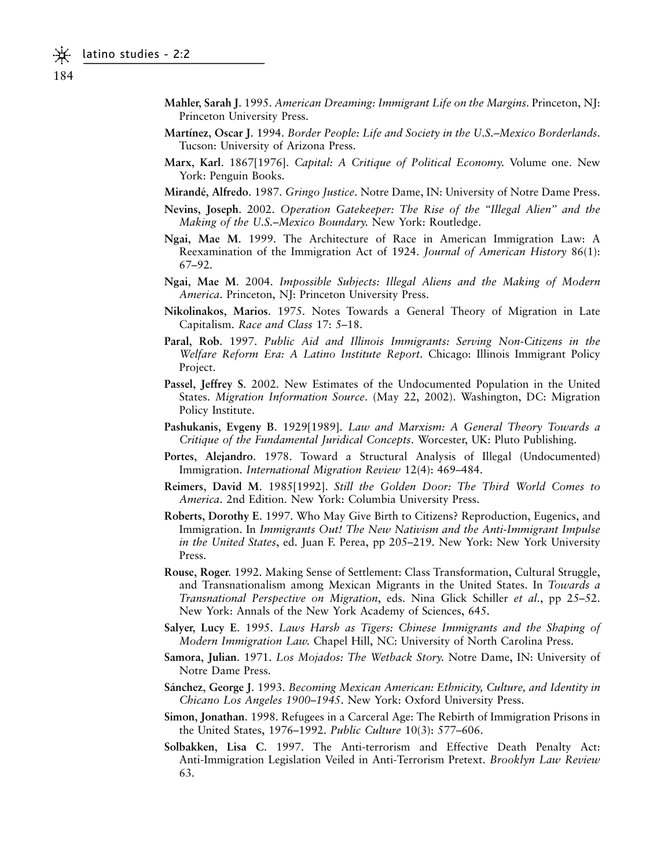- Mahler, Sarah J. 1995. American Dreaming: Immigrant Life on the Margins. Princeton, NJ: Princeton University Press.
- Martínez, Oscar J. 1994. Border People: Life and Society in the U.S.–Mexico Borderlands. Tucson: University of Arizona Press.
- Marx, Karl. 1867[1976]. Capital: A Critique of Political Economy. Volume one. New York: Penguin Books.
- Mirandé, Alfredo. 1987. Gringo Justice. Notre Dame, IN: University of Notre Dame Press.
- Nevins, Joseph. 2002. Operation Gatekeeper: The Rise of the ''Illegal Alien'' and the Making of the U.S.–Mexico Boundary. New York: Routledge.
- Ngai, Mae M. 1999. The Architecture of Race in American Immigration Law: A Reexamination of the Immigration Act of 1924. Journal of American History 86(1): 67–92.
- Ngai, Mae M. 2004. Impossible Subjects: Illegal Aliens and the Making of Modern America. Princeton, NJ: Princeton University Press.
- Nikolinakos, Marios. 1975. Notes Towards a General Theory of Migration in Late Capitalism. Race and Class 17: 5–18.
- Paral, Rob. 1997. Public Aid and Illinois Immigrants: Serving Non-Citizens in the Welfare Reform Era: A Latino Institute Report. Chicago: Illinois Immigrant Policy Project.
- Passel, Jeffrey S. 2002. New Estimates of the Undocumented Population in the United States. Migration Information Source. (May 22, 2002). Washington, DC: Migration Policy Institute.
- Pashukanis, Evgeny B. 1929[1989]. Law and Marxism: A General Theory Towards a Critique of the Fundamental Juridical Concepts. Worcester, UK: Pluto Publishing.
- Portes, Alejandro. 1978. Toward a Structural Analysis of Illegal (Undocumented) Immigration. International Migration Review 12(4): 469–484.
- Reimers, David M. 1985[1992]. Still the Golden Door: The Third World Comes to America. 2nd Edition. New York: Columbia University Press.
- Roberts, Dorothy E. 1997. Who May Give Birth to Citizens? Reproduction, Eugenics, and Immigration. In Immigrants Out! The New Nativism and the Anti-Immigrant Impulse in the United States, ed. Juan F. Perea, pp 205–219. New York: New York University Press.
- Rouse, Roger. 1992. Making Sense of Settlement: Class Transformation, Cultural Struggle, and Transnationalism among Mexican Migrants in the United States. In Towards a Transnational Perspective on Migration, eds. Nina Glick Schiller et al., pp 25–52. New York: Annals of the New York Academy of Sciences, 645.
- Salyer, Lucy E. 1995. Laws Harsh as Tigers: Chinese Immigrants and the Shaping of Modern Immigration Law. Chapel Hill, NC: University of North Carolina Press.
- Samora, Julian. 1971. Los Mojados: The Wetback Story. Notre Dame, IN: University of Notre Dame Press.
- Sánchez, George J. 1993. Becoming Mexican American: Ethnicity, Culture, and Identity in Chicano Los Angeles 1900–1945. New York: Oxford University Press.
- Simon, Jonathan. 1998. Refugees in a Carceral Age: The Rebirth of Immigration Prisons in the United States, 1976–1992. Public Culture 10(3): 577–606.
- Solbakken, Lisa C. 1997. The Anti-terrorism and Effective Death Penalty Act: Anti-Immigration Legislation Veiled in Anti-Terrorism Pretext. Brooklyn Law Review 63.